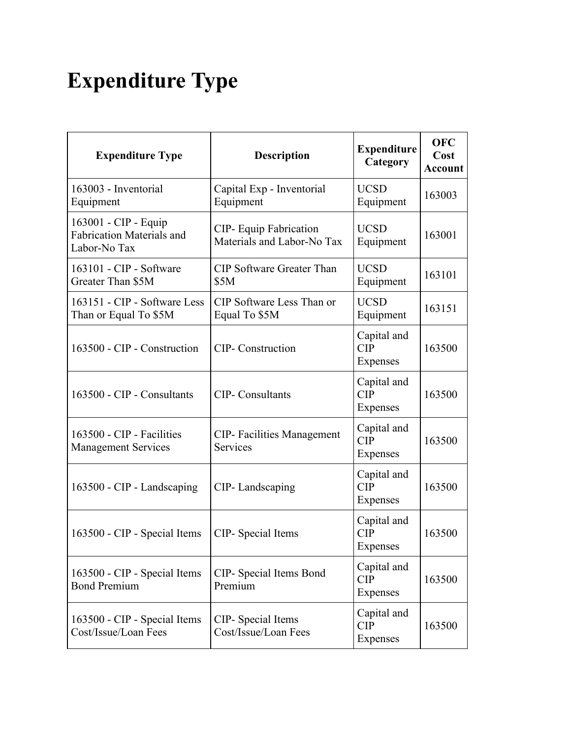## **Expenditure Type**

| <b>Expenditure Type</b>                                                  | <b>Description</b>                                   | <b>Expenditure</b><br>Category        | <b>OFC</b><br>Cost<br><b>Account</b> |
|--------------------------------------------------------------------------|------------------------------------------------------|---------------------------------------|--------------------------------------|
| 163003 - Inventorial<br>Equipment                                        | Capital Exp - Inventorial<br>Equipment               | <b>UCSD</b><br>Equipment              | 163003                               |
| 163001 - CIP - Equip<br><b>Fabrication Materials and</b><br>Labor-No Tax | CIP- Equip Fabrication<br>Materials and Labor-No Tax | <b>UCSD</b><br>Equipment              | 163001                               |
| 163101 - CIP - Software<br>Greater Than \$5M                             | <b>CIP</b> Software Greater Than<br>\$5M             | <b>UCSD</b><br>Equipment              | 163101                               |
| 163151 - CIP - Software Less<br>Than or Equal To \$5M                    | CIP Software Less Than or<br>Equal To \$5M           | <b>UCSD</b><br>Equipment              | 163151                               |
| 163500 - CIP - Construction                                              | <b>CIP-</b> Construction                             | Capital and<br>CIP<br>Expenses        | 163500                               |
| 163500 - CIP - Consultants                                               | <b>CIP-</b> Consultants                              | Capital and<br><b>CIP</b><br>Expenses | 163500                               |
| 163500 - CIP - Facilities<br><b>Management Services</b>                  | <b>CIP-</b> Facilities Management<br>Services        | Capital and<br><b>CIP</b><br>Expenses | 163500                               |
| 163500 - CIP - Landscaping                                               | CIP-Landscaping                                      | Capital and<br>CIP<br>Expenses        | 163500                               |
| 163500 - CIP - Special Items                                             | CIP- Special Items                                   | Capital and<br><b>CIP</b><br>Expenses | 163500                               |
| 163500 - CIP - Special Items<br><b>Bond Premium</b>                      | CIP- Special Items Bond<br>Premium                   | Capital and<br><b>CIP</b><br>Expenses | 163500                               |
| 163500 - CIP - Special Items<br>Cost/Issue/Loan Fees                     | CIP- Special Items<br>Cost/Issue/Loan Fees           | Capital and<br>CIP<br>Expenses        | 163500                               |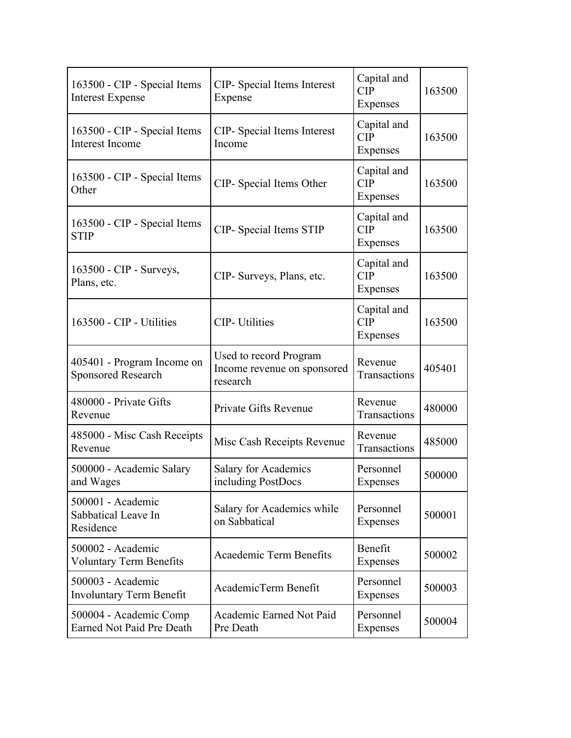| 163500 - CIP - Special Items<br><b>Interest Expense</b>    | CIP- Special Items Interest<br>Expense                            | Capital and<br>CIP<br>Expenses        | 163500 |
|------------------------------------------------------------|-------------------------------------------------------------------|---------------------------------------|--------|
| 163500 - CIP - Special Items<br><b>Interest Income</b>     | CIP- Special Items Interest<br>Income                             | Capital and<br><b>CIP</b><br>Expenses | 163500 |
| 163500 - CIP - Special Items<br>Other                      | CIP- Special Items Other                                          | Capital and<br><b>CIP</b><br>Expenses | 163500 |
| 163500 - CIP - Special Items<br><b>STIP</b>                | CIP- Special Items STIP                                           | Capital and<br>CIP<br>Expenses        | 163500 |
| 163500 - CIP - Surveys,<br>Plans, etc.                     | CIP- Surveys, Plans, etc.                                         | Capital and<br>CIP<br>Expenses        | 163500 |
| 163500 - CIP - Utilities                                   | <b>CIP-</b> Utilities                                             | Capital and<br><b>CIP</b><br>Expenses | 163500 |
| 405401 - Program Income on<br><b>Sponsored Research</b>    | Used to record Program<br>Income revenue on sponsored<br>research | Revenue<br>Transactions               | 405401 |
| 480000 - Private Gifts<br>Revenue                          | Private Gifts Revenue                                             | Revenue<br>Transactions               | 480000 |
| 485000 - Misc Cash Receipts<br>Revenue                     | Misc Cash Receipts Revenue                                        | Revenue<br>Transactions               | 485000 |
| 500000 - Academic Salary<br>and Wages                      | <b>Salary for Academics</b><br>including PostDocs                 | Personnel<br>Expenses                 | 500000 |
| 500001 - Academic<br>Sabbatical Leave In<br>Residence      | Salary for Academics while<br>on Sabbatical                       | Personnel<br>Expenses                 | 500001 |
| 500002 - Academic<br><b>Voluntary Term Benefits</b>        | Acaedemic Term Benefits                                           | Benefit<br>Expenses                   | 500002 |
| 500003 - Academic<br><b>Involuntary Term Benefit</b>       | AcademicTerm Benefit                                              | Personnel<br>Expenses                 | 500003 |
| 500004 - Academic Comp<br><b>Earned Not Paid Pre Death</b> | Academic Earned Not Paid<br>Pre Death                             | Personnel<br>Expenses                 | 500004 |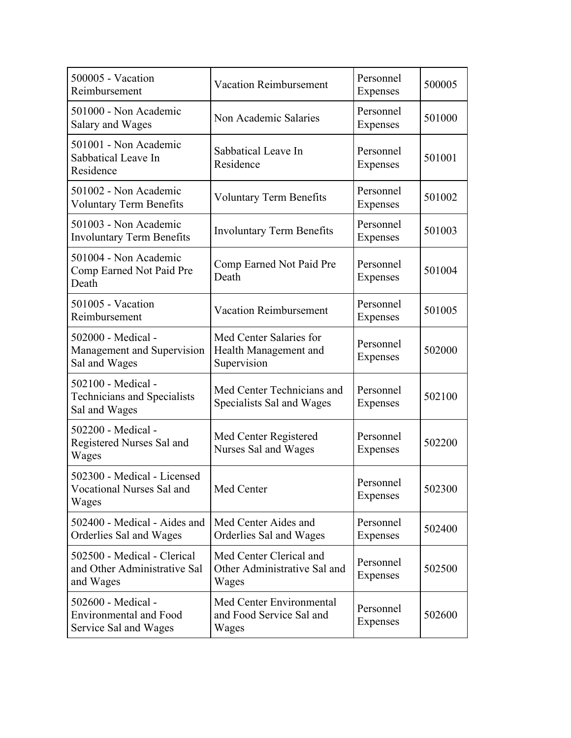| 500005 - Vacation<br>Reimbursement                                           | <b>Vacation Reimbursement</b>                                    | Personnel<br>Expenses        | 500005 |
|------------------------------------------------------------------------------|------------------------------------------------------------------|------------------------------|--------|
| 501000 - Non Academic<br>Salary and Wages                                    | Non Academic Salaries                                            | Personnel<br>Expenses        | 501000 |
| 501001 - Non Academic<br>Sabbatical Leave In<br>Residence                    | Sabbatical Leave In<br>Residence                                 | Personnel<br>Expenses        | 501001 |
| 501002 - Non Academic<br><b>Voluntary Term Benefits</b>                      | <b>Voluntary Term Benefits</b>                                   | Personnel<br>Expenses        | 501002 |
| 501003 - Non Academic<br><b>Involuntary Term Benefits</b>                    | <b>Involuntary Term Benefits</b>                                 | Personnel<br>Expenses        | 501003 |
| 501004 - Non Academic<br>Comp Earned Not Paid Pre<br>Death                   | Comp Earned Not Paid Pre<br>Death                                | Personnel<br>Expenses        | 501004 |
| 501005 - Vacation<br>Reimbursement                                           | <b>Vacation Reimbursement</b>                                    | Personnel<br>Expenses        | 501005 |
| 502000 - Medical -<br>Management and Supervision<br>Sal and Wages            | Med Center Salaries for<br>Health Management and<br>Supervision  | Personnel<br>Expenses        | 502000 |
| 502100 - Medical -<br>Technicians and Specialists<br>Sal and Wages           | Med Center Technicians and<br>Specialists Sal and Wages          | Personnel<br>Expenses        | 502100 |
| 502200 - Medical -<br>Registered Nurses Sal and<br>Wages                     | Med Center Registered<br>Nurses Sal and Wages                    | Personnel<br><b>Expenses</b> | 502200 |
| 502300 - Medical - Licensed<br>Vocational Nurses Sal and<br>Wages            | Med Center                                                       | Personnel<br>Expenses        | 502300 |
| 502400 - Medical - Aides and<br>Orderlies Sal and Wages                      | Med Center Aides and<br>Orderlies Sal and Wages                  | Personnel<br>Expenses        | 502400 |
| 502500 - Medical - Clerical<br>and Other Administrative Sal<br>and Wages     | Med Center Clerical and<br>Other Administrative Sal and<br>Wages | Personnel<br>Expenses        | 502500 |
| 502600 - Medical -<br><b>Environmental and Food</b><br>Service Sal and Wages | Med Center Environmental<br>and Food Service Sal and<br>Wages    | Personnel<br>Expenses        | 502600 |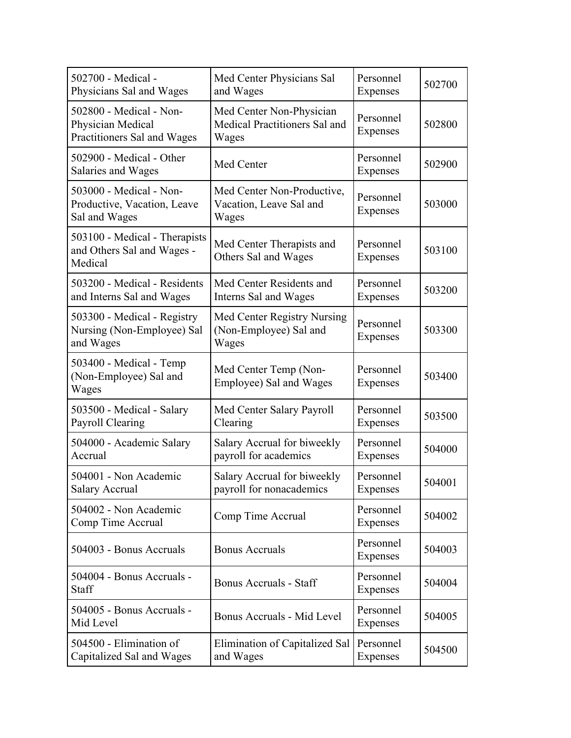| 502700 - Medical -<br>Physicians Sal and Wages                              | Med Center Physicians Sal<br>and Wages                             | Personnel<br>Expenses        | 502700 |
|-----------------------------------------------------------------------------|--------------------------------------------------------------------|------------------------------|--------|
| 502800 - Medical - Non-<br>Physician Medical<br>Practitioners Sal and Wages | Med Center Non-Physician<br>Medical Practitioners Sal and<br>Wages | Personnel<br>Expenses        | 502800 |
| 502900 - Medical - Other<br>Salaries and Wages                              | Med Center                                                         | Personnel<br>Expenses        | 502900 |
| 503000 - Medical - Non-<br>Productive, Vacation, Leave<br>Sal and Wages     | Med Center Non-Productive,<br>Vacation, Leave Sal and<br>Wages     | Personnel<br>Expenses        | 503000 |
| 503100 - Medical - Therapists<br>and Others Sal and Wages -<br>Medical      | Med Center Therapists and<br>Others Sal and Wages                  | Personnel<br>Expenses        | 503100 |
| 503200 - Medical - Residents<br>and Interns Sal and Wages                   | Med Center Residents and<br>Interns Sal and Wages                  | Personnel<br><b>Expenses</b> | 503200 |
| 503300 - Medical - Registry<br>Nursing (Non-Employee) Sal<br>and Wages      | Med Center Registry Nursing<br>(Non-Employee) Sal and<br>Wages     | Personnel<br>Expenses        | 503300 |
| 503400 - Medical - Temp<br>(Non-Employee) Sal and<br>Wages                  | Med Center Temp (Non-<br>Employee) Sal and Wages                   | Personnel<br>Expenses        | 503400 |
| 503500 - Medical - Salary<br>Payroll Clearing                               | Med Center Salary Payroll<br>Clearing                              | Personnel<br>Expenses        | 503500 |
| 504000 - Academic Salary<br>Accrual                                         | Salary Accrual for biweekly<br>payroll for academics               | Personnel<br>Expenses        | 504000 |
| 504001 - Non Academic<br><b>Salary Accrual</b>                              | Salary Accrual for biweekly<br>payroll for nonacademics            | Personnel<br>Expenses        | 504001 |
| 504002 - Non Academic<br>Comp Time Accrual                                  | Comp Time Accrual                                                  | Personnel<br>Expenses        | 504002 |
| 504003 - Bonus Accruals                                                     | <b>Bonus Accruals</b>                                              | Personnel<br>Expenses        | 504003 |
| 504004 - Bonus Accruals -<br><b>Staff</b>                                   | Bonus Accruals - Staff                                             | Personnel<br>Expenses        | 504004 |
| 504005 - Bonus Accruals -<br>Mid Level                                      | Bonus Accruals - Mid Level                                         | Personnel<br>Expenses        | 504005 |
| 504500 - Elimination of<br>Capitalized Sal and Wages                        | Elimination of Capitalized Sal<br>and Wages                        | Personnel<br>Expenses        | 504500 |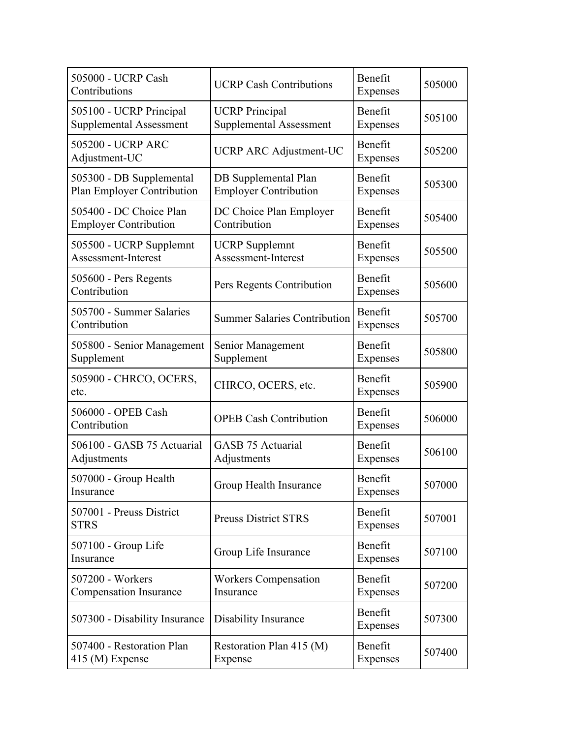| 505000 - UCRP Cash<br>Contributions                     | <b>UCRP Cash Contributions</b>                          | Benefit<br>Expenses | 505000 |
|---------------------------------------------------------|---------------------------------------------------------|---------------------|--------|
| 505100 - UCRP Principal<br>Supplemental Assessment      | <b>UCRP</b> Principal<br><b>Supplemental Assessment</b> | Benefit<br>Expenses | 505100 |
| 505200 - UCRP ARC<br>Adjustment-UC                      | <b>UCRP ARC Adjustment-UC</b>                           | Benefit<br>Expenses | 505200 |
| 505300 - DB Supplemental<br>Plan Employer Contribution  | DB Supplemental Plan<br><b>Employer Contribution</b>    | Benefit<br>Expenses | 505300 |
| 505400 - DC Choice Plan<br><b>Employer Contribution</b> | DC Choice Plan Employer<br>Contribution                 | Benefit<br>Expenses | 505400 |
| 505500 - UCRP Supplemnt<br>Assessment-Interest          | <b>UCRP</b> Supplemnt<br>Assessment-Interest            | Benefit<br>Expenses | 505500 |
| 505600 - Pers Regents<br>Contribution                   | Pers Regents Contribution                               | Benefit<br>Expenses | 505600 |
| 505700 - Summer Salaries<br>Contribution                | <b>Summer Salaries Contribution</b>                     | Benefit<br>Expenses | 505700 |
| 505800 - Senior Management<br>Supplement                | Senior Management<br>Supplement                         | Benefit<br>Expenses | 505800 |
| 505900 - CHRCO, OCERS,<br>etc.                          | CHRCO, OCERS, etc.                                      | Benefit<br>Expenses | 505900 |
| 506000 - OPEB Cash<br>Contribution                      | <b>OPEB Cash Contribution</b>                           | Benefit<br>Expenses | 506000 |
| 506100 - GASB 75 Actuarial<br>Adjustments               | <b>GASB 75 Actuarial</b><br>Adjustments                 | Benefit<br>Expenses | 506100 |
| 507000 - Group Health<br>Insurance                      | Group Health Insurance                                  | Benefit<br>Expenses | 507000 |
| 507001 - Preuss District<br><b>STRS</b>                 | <b>Preuss District STRS</b>                             | Benefit<br>Expenses | 507001 |
| 507100 - Group Life<br>Insurance                        | Group Life Insurance                                    | Benefit<br>Expenses | 507100 |
| 507200 - Workers<br><b>Compensation Insurance</b>       | <b>Workers Compensation</b><br>Insurance                | Benefit<br>Expenses | 507200 |
| 507300 - Disability Insurance                           | Disability Insurance                                    | Benefit<br>Expenses | 507300 |
| 507400 - Restoration Plan<br>$415 \,(M)$ Expense        | Restoration Plan 415 (M)<br>Expense                     | Benefit<br>Expenses | 507400 |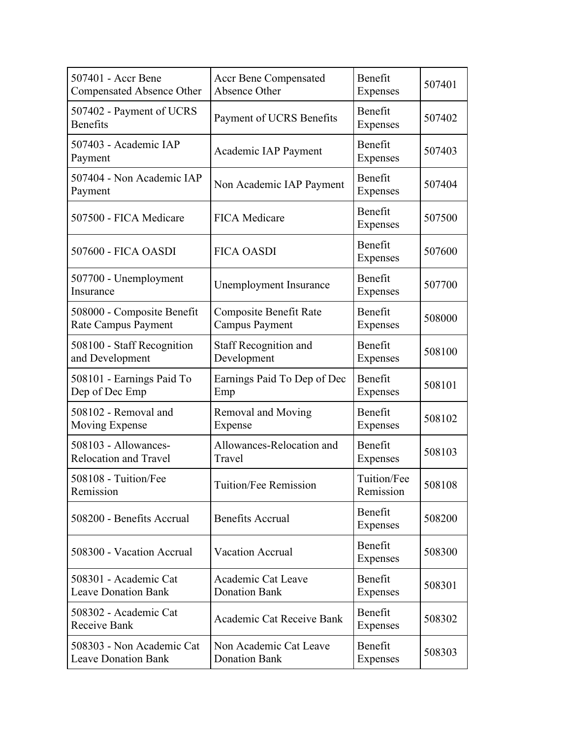| 507401 - Accr Bene<br>Compensated Absence Other         | <b>Accr Bene Compensated</b><br>Absence Other   | Benefit<br>Expenses      | 507401 |
|---------------------------------------------------------|-------------------------------------------------|--------------------------|--------|
| 507402 - Payment of UCRS<br><b>Benefits</b>             | Payment of UCRS Benefits                        | Benefit<br>Expenses      | 507402 |
| 507403 - Academic IAP<br>Payment                        | Academic IAP Payment                            | Benefit<br>Expenses      | 507403 |
| 507404 - Non Academic IAP<br>Payment                    | Non Academic IAP Payment                        | Benefit<br>Expenses      | 507404 |
| 507500 - FICA Medicare                                  | <b>FICA Medicare</b>                            | Benefit<br>Expenses      | 507500 |
| 507600 - FICA OASDI                                     | <b>FICA OASDI</b>                               | Benefit<br>Expenses      | 507600 |
| 507700 - Unemployment<br>Insurance                      | Unemployment Insurance                          | Benefit<br>Expenses      | 507700 |
| 508000 - Composite Benefit<br>Rate Campus Payment       | Composite Benefit Rate<br><b>Campus Payment</b> | Benefit<br>Expenses      | 508000 |
| 508100 - Staff Recognition<br>and Development           | <b>Staff Recognition and</b><br>Development     | Benefit<br>Expenses      | 508100 |
| 508101 - Earnings Paid To<br>Dep of Dec Emp             | Earnings Paid To Dep of Dec<br>Emp              | Benefit<br>Expenses      | 508101 |
| 508102 - Removal and<br>Moving Expense                  | <b>Removal and Moving</b><br>Expense            | Benefit<br>Expenses      | 508102 |
| 508103 - Allowances-<br><b>Relocation and Travel</b>    | Allowances-Relocation and<br>Travel             | Benefit<br>Expenses      | 508103 |
| 508108 - Tuition/Fee<br>Remission                       | Tuition/Fee Remission                           | Tuition/Fee<br>Remission | 508108 |
| 508200 - Benefits Accrual                               | <b>Benefits Accrual</b>                         | Benefit<br>Expenses      | 508200 |
| 508300 - Vacation Accrual                               | <b>Vacation Accrual</b>                         | Benefit<br>Expenses      | 508300 |
| 508301 - Academic Cat<br><b>Leave Donation Bank</b>     | Academic Cat Leave<br><b>Donation Bank</b>      | Benefit<br>Expenses      | 508301 |
| 508302 - Academic Cat<br>Receive Bank                   | Academic Cat Receive Bank                       | Benefit<br>Expenses      | 508302 |
| 508303 - Non Academic Cat<br><b>Leave Donation Bank</b> | Non Academic Cat Leave<br><b>Donation Bank</b>  | Benefit<br>Expenses      | 508303 |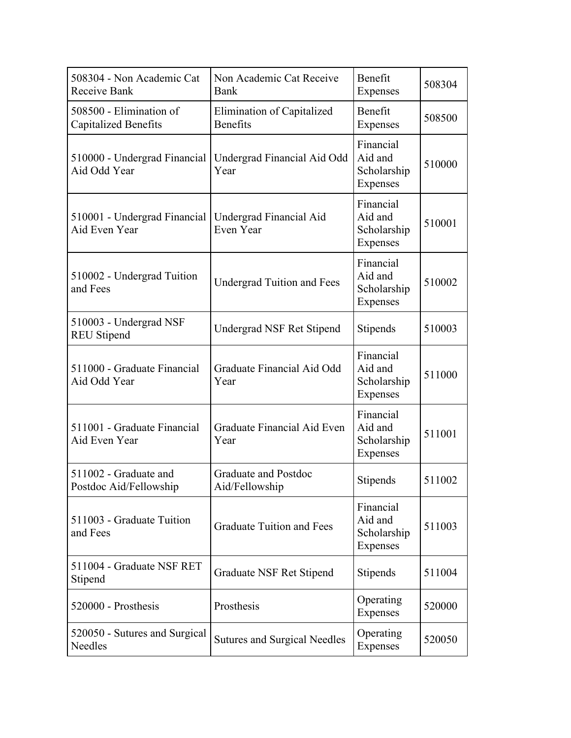| 508304 - Non Academic Cat<br>Receive Bank              | Non Academic Cat Receive<br>Bank              | Benefit<br>Expenses                             | 508304 |
|--------------------------------------------------------|-----------------------------------------------|-------------------------------------------------|--------|
| 508500 - Elimination of<br><b>Capitalized Benefits</b> | Elimination of Capitalized<br><b>Benefits</b> | Benefit<br>Expenses                             | 508500 |
| 510000 - Undergrad Financial<br>Aid Odd Year           | Undergrad Financial Aid Odd<br>Year           | Financial<br>Aid and<br>Scholarship<br>Expenses | 510000 |
| 510001 - Undergrad Financial<br>Aid Even Year          | Undergrad Financial Aid<br>Even Year          | Financial<br>Aid and<br>Scholarship<br>Expenses | 510001 |
| 510002 - Undergrad Tuition<br>and Fees                 | <b>Undergrad Tuition and Fees</b>             | Financial<br>Aid and<br>Scholarship<br>Expenses | 510002 |
| 510003 - Undergrad NSF<br><b>REU Stipend</b>           | Undergrad NSF Ret Stipend                     | Stipends                                        | 510003 |
| 511000 - Graduate Financial<br>Aid Odd Year            | Graduate Financial Aid Odd<br>Year            | Financial<br>Aid and<br>Scholarship<br>Expenses | 511000 |
| 511001 - Graduate Financial<br>Aid Even Year           | Graduate Financial Aid Even<br>Year           | Financial<br>Aid and<br>Scholarship<br>Expenses | 511001 |
| 511002 - Graduate and<br>Postdoc Aid/Fellowship        | <b>Graduate and Postdoc</b><br>Aid/Fellowship | Stipends                                        | 511002 |
| 511003 - Graduate Tuition<br>and Fees                  | <b>Graduate Tuition and Fees</b>              | Financial<br>Aid and<br>Scholarship<br>Expenses | 511003 |
| 511004 - Graduate NSF RET<br>Stipend                   | Graduate NSF Ret Stipend                      | Stipends                                        | 511004 |
| 520000 - Prosthesis                                    | Prosthesis                                    | Operating<br>Expenses                           | 520000 |
| 520050 - Sutures and Surgical<br>Needles               | <b>Sutures and Surgical Needles</b>           | Operating<br>Expenses                           | 520050 |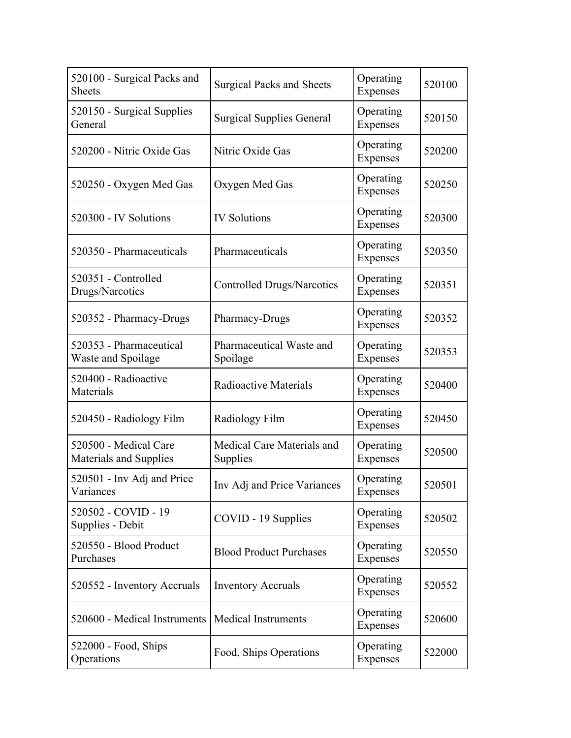| 520100 - Surgical Packs and<br><b>Sheets</b>    | <b>Surgical Packs and Sheets</b>       | Operating<br>Expenses | 520100 |
|-------------------------------------------------|----------------------------------------|-----------------------|--------|
| 520150 - Surgical Supplies<br>General           | <b>Surgical Supplies General</b>       | Operating<br>Expenses | 520150 |
| 520200 - Nitric Oxide Gas                       | Nitric Oxide Gas                       | Operating<br>Expenses | 520200 |
| 520250 - Oxygen Med Gas                         | Oxygen Med Gas                         | Operating<br>Expenses | 520250 |
| 520300 - IV Solutions                           | <b>IV Solutions</b>                    | Operating<br>Expenses | 520300 |
| 520350 - Pharmaceuticals                        | Pharmaceuticals                        | Operating<br>Expenses | 520350 |
| 520351 - Controlled<br>Drugs/Narcotics          | <b>Controlled Drugs/Narcotics</b>      | Operating<br>Expenses | 520351 |
| 520352 - Pharmacy-Drugs                         | Pharmacy-Drugs                         | Operating<br>Expenses | 520352 |
| 520353 - Pharmaceutical<br>Waste and Spoilage   | Pharmaceutical Waste and<br>Spoilage   | Operating<br>Expenses | 520353 |
| 520400 - Radioactive<br>Materials               | Radioactive Materials                  | Operating<br>Expenses | 520400 |
| 520450 - Radiology Film                         | Radiology Film                         | Operating<br>Expenses | 520450 |
| 520500 - Medical Care<br>Materials and Supplies | Medical Care Materials and<br>Supplies | Operating<br>Expenses | 520500 |
| 520501 - Inv Adj and Price<br>Variances         | Inv Adj and Price Variances            | Operating<br>Expenses | 520501 |
| 520502 - COVID - 19<br>Supplies - Debit         | COVID - 19 Supplies                    | Operating<br>Expenses | 520502 |
| 520550 - Blood Product<br>Purchases             | <b>Blood Product Purchases</b>         | Operating<br>Expenses | 520550 |
| 520552 - Inventory Accruals                     | <b>Inventory Accruals</b>              | Operating<br>Expenses | 520552 |
| 520600 - Medical Instruments                    | <b>Medical Instruments</b>             | Operating<br>Expenses | 520600 |
| 522000 - Food, Ships<br>Operations              | Food, Ships Operations                 | Operating<br>Expenses | 522000 |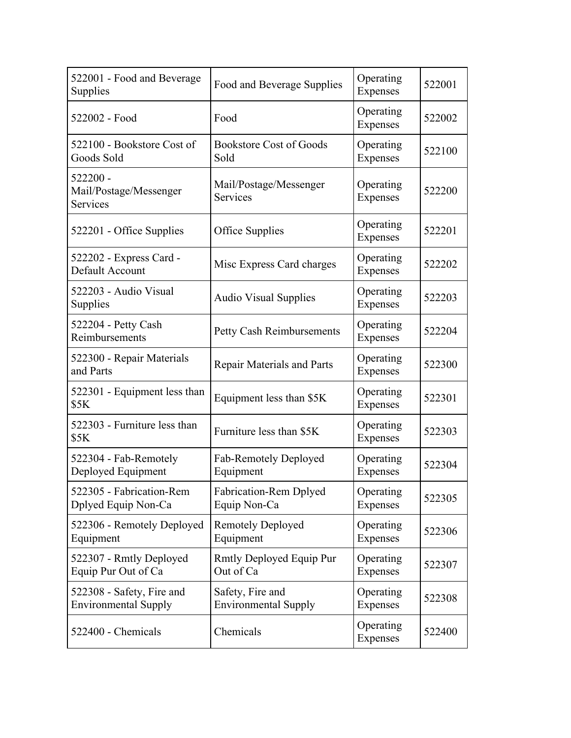| 522001 - Food and Beverage<br>Supplies                   | Food and Beverage Supplies                      | Operating<br>Expenses | 522001 |
|----------------------------------------------------------|-------------------------------------------------|-----------------------|--------|
| 522002 - Food                                            | Food                                            | Operating<br>Expenses | 522002 |
| 522100 - Bookstore Cost of<br>Goods Sold                 | <b>Bookstore Cost of Goods</b><br>Sold          | Operating<br>Expenses | 522100 |
| 522200 -<br>Mail/Postage/Messenger<br>Services           | Mail/Postage/Messenger<br>Services              | Operating<br>Expenses | 522200 |
| 522201 - Office Supplies                                 | Office Supplies                                 | Operating<br>Expenses | 522201 |
| 522202 - Express Card -<br>Default Account               | Misc Express Card charges                       | Operating<br>Expenses | 522202 |
| 522203 - Audio Visual<br>Supplies                        | <b>Audio Visual Supplies</b>                    | Operating<br>Expenses | 522203 |
| 522204 - Petty Cash<br>Reimbursements                    | <b>Petty Cash Reimbursements</b>                | Operating<br>Expenses | 522204 |
| 522300 - Repair Materials<br>and Parts                   | <b>Repair Materials and Parts</b>               | Operating<br>Expenses | 522300 |
| 522301 - Equipment less than<br>\$5K                     | Equipment less than \$5K                        | Operating<br>Expenses | 522301 |
| 522303 - Furniture less than<br>\$5K                     | Furniture less than \$5K                        | Operating<br>Expenses | 522303 |
| 522304 - Fab-Remotely<br>Deployed Equipment              | Fab-Remotely Deployed<br>Equipment              | Operating<br>Expenses | 522304 |
| 522305 - Fabrication-Rem<br>Dplyed Equip Non-Ca          | <b>Fabrication-Rem Dplyed</b><br>Equip Non-Ca   | Operating<br>Expenses | 522305 |
| 522306 - Remotely Deployed<br>Equipment                  | <b>Remotely Deployed</b><br>Equipment           | Operating<br>Expenses | 522306 |
| 522307 - Rmtly Deployed<br>Equip Pur Out of Ca           | Rmtly Deployed Equip Pur<br>Out of Ca           | Operating<br>Expenses | 522307 |
| 522308 - Safety, Fire and<br><b>Environmental Supply</b> | Safety, Fire and<br><b>Environmental Supply</b> | Operating<br>Expenses | 522308 |
| 522400 - Chemicals                                       | Chemicals                                       | Operating<br>Expenses | 522400 |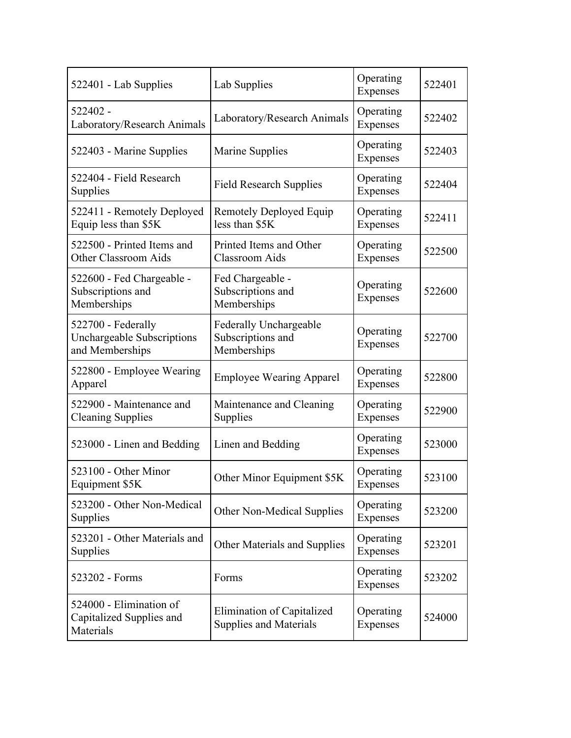| 522401 - Lab Supplies                                               | Lab Supplies                                               | Operating<br>Expenses | 522401 |
|---------------------------------------------------------------------|------------------------------------------------------------|-----------------------|--------|
| 522402 -<br>Laboratory/Research Animals                             | Laboratory/Research Animals                                | Operating<br>Expenses | 522402 |
| 522403 - Marine Supplies                                            | Marine Supplies                                            | Operating<br>Expenses | 522403 |
| 522404 - Field Research<br>Supplies                                 | <b>Field Research Supplies</b>                             | Operating<br>Expenses | 522404 |
| 522411 - Remotely Deployed<br>Equip less than \$5K                  | Remotely Deployed Equip<br>less than \$5K                  | Operating<br>Expenses | 522411 |
| 522500 - Printed Items and<br>Other Classroom Aids                  | Printed Items and Other<br><b>Classroom</b> Aids           | Operating<br>Expenses | 522500 |
| 522600 - Fed Chargeable -<br>Subscriptions and<br>Memberships       | Fed Chargeable -<br>Subscriptions and<br>Memberships       | Operating<br>Expenses | 522600 |
| 522700 - Federally<br>Unchargeable Subscriptions<br>and Memberships | Federally Unchargeable<br>Subscriptions and<br>Memberships | Operating<br>Expenses | 522700 |
| 522800 - Employee Wearing<br>Apparel                                | <b>Employee Wearing Apparel</b>                            | Operating<br>Expenses | 522800 |
| 522900 - Maintenance and<br><b>Cleaning Supplies</b>                | Maintenance and Cleaning<br>Supplies                       | Operating<br>Expenses | 522900 |
| 523000 - Linen and Bedding                                          | Linen and Bedding                                          | Operating<br>Expenses | 523000 |
| 523100 - Other Minor<br>Equipment \$5K                              | Other Minor Equipment \$5K                                 | Operating<br>Expenses | 523100 |
| 523200 - Other Non-Medical<br>Supplies                              | Other Non-Medical Supplies                                 | Operating<br>Expenses | 523200 |
| 523201 - Other Materials and<br>Supplies                            | Other Materials and Supplies                               | Operating<br>Expenses | 523201 |
| 523202 - Forms                                                      | Forms                                                      | Operating<br>Expenses | 523202 |
| 524000 - Elimination of<br>Capitalized Supplies and<br>Materials    | Elimination of Capitalized<br>Supplies and Materials       | Operating<br>Expenses | 524000 |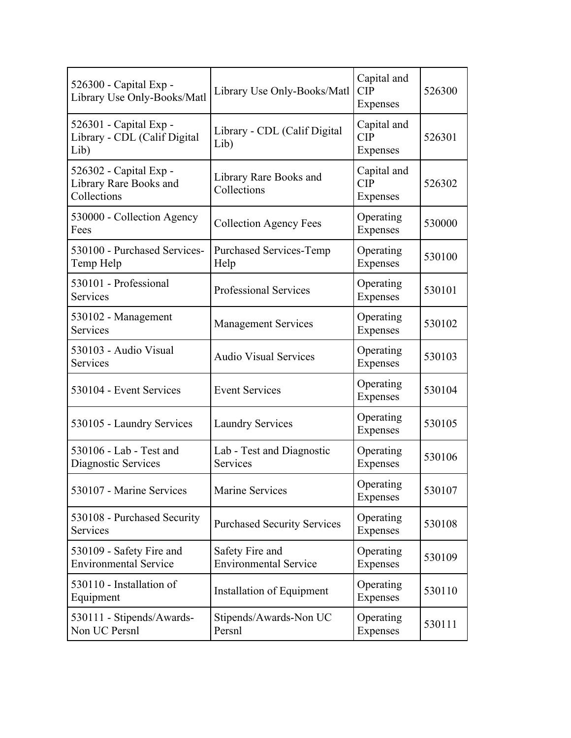| 526300 - Capital Exp -<br>Library Use Only-Books/Matl           | Library Use Only-Books/Matl                     | Capital and<br>CIP<br>Expenses        | 526300 |
|-----------------------------------------------------------------|-------------------------------------------------|---------------------------------------|--------|
| 526301 - Capital Exp -<br>Library - CDL (Calif Digital<br>Lib)  | Library - CDL (Calif Digital<br>Lib)            | Capital and<br><b>CIP</b><br>Expenses | 526301 |
| 526302 - Capital Exp -<br>Library Rare Books and<br>Collections | Library Rare Books and<br>Collections           | Capital and<br><b>CIP</b><br>Expenses | 526302 |
| 530000 - Collection Agency<br>Fees                              | <b>Collection Agency Fees</b>                   | Operating<br>Expenses                 | 530000 |
| 530100 - Purchased Services-<br>Temp Help                       | <b>Purchased Services-Temp</b><br>Help          | Operating<br>Expenses                 | 530100 |
| 530101 - Professional<br>Services                               | <b>Professional Services</b>                    | Operating<br>Expenses                 | 530101 |
| 530102 - Management<br>Services                                 | <b>Management Services</b>                      | Operating<br>Expenses                 | 530102 |
| 530103 - Audio Visual<br>Services                               | <b>Audio Visual Services</b>                    | Operating<br>Expenses                 | 530103 |
| 530104 - Event Services                                         | <b>Event Services</b>                           | Operating<br>Expenses                 | 530104 |
| 530105 - Laundry Services                                       | <b>Laundry Services</b>                         | Operating<br>Expenses                 | 530105 |
| 530106 - Lab - Test and<br>Diagnostic Services                  | Lab - Test and Diagnostic<br>Services           | Operating<br>Expenses                 | 530106 |
| 530107 - Marine Services                                        | <b>Marine Services</b>                          | Operating<br>Expenses                 | 530107 |
| 530108 - Purchased Security<br>Services                         | <b>Purchased Security Services</b>              | Operating<br>Expenses                 | 530108 |
| 530109 - Safety Fire and<br><b>Environmental Service</b>        | Safety Fire and<br><b>Environmental Service</b> | Operating<br>Expenses                 | 530109 |
| 530110 - Installation of<br>Equipment                           | Installation of Equipment                       | Operating<br>Expenses                 | 530110 |
| 530111 - Stipends/Awards-<br>Non UC Persnl                      | Stipends/Awards-Non UC<br>Persnl                | Operating<br>Expenses                 | 530111 |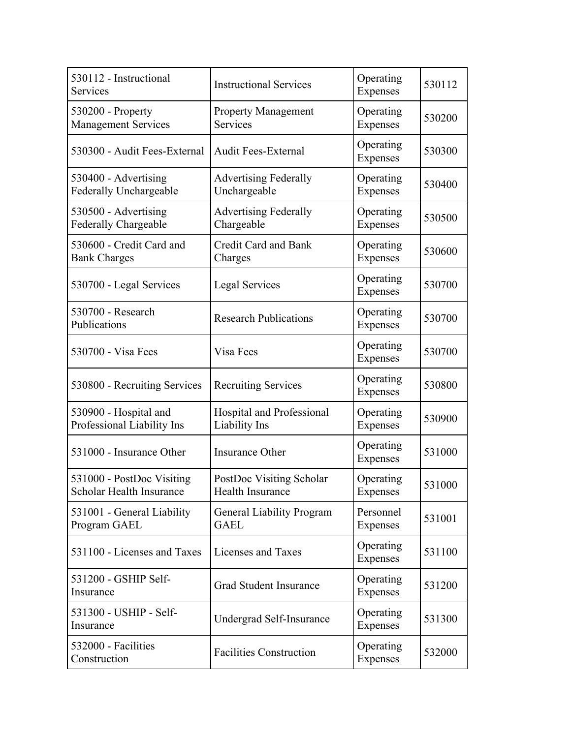| 530112 - Instructional<br>Services                           | <b>Instructional Services</b>                   | Operating<br>Expenses | 530112 |
|--------------------------------------------------------------|-------------------------------------------------|-----------------------|--------|
| 530200 - Property<br><b>Management Services</b>              | <b>Property Management</b><br>Services          | Operating<br>Expenses | 530200 |
| 530300 - Audit Fees-External                                 | <b>Audit Fees-External</b>                      | Operating<br>Expenses | 530300 |
| 530400 - Advertising<br><b>Federally Unchargeable</b>        | <b>Advertising Federally</b><br>Unchargeable    | Operating<br>Expenses | 530400 |
| 530500 - Advertising<br>Federally Chargeable                 | <b>Advertising Federally</b><br>Chargeable      | Operating<br>Expenses | 530500 |
| 530600 - Credit Card and<br><b>Bank Charges</b>              | <b>Credit Card and Bank</b><br>Charges          | Operating<br>Expenses | 530600 |
| 530700 - Legal Services                                      | Legal Services                                  | Operating<br>Expenses | 530700 |
| 530700 - Research<br>Publications                            | <b>Research Publications</b>                    | Operating<br>Expenses | 530700 |
| 530700 - Visa Fees                                           | Visa Fees                                       | Operating<br>Expenses | 530700 |
| 530800 - Recruiting Services                                 | <b>Recruiting Services</b>                      | Operating<br>Expenses | 530800 |
| 530900 - Hospital and<br>Professional Liability Ins          | Hospital and Professional<br>Liability Ins      | Operating<br>Expenses | 530900 |
| 531000 - Insurance Other                                     | Insurance Other                                 | Operating<br>Expenses | 531000 |
| 531000 - PostDoc Visiting<br><b>Scholar Health Insurance</b> | PostDoc Visiting Scholar<br>Health Insurance    | Operating<br>Expenses | 531000 |
| 531001 - General Liability<br>Program GAEL                   | <b>General Liability Program</b><br><b>GAEL</b> | Personnel<br>Expenses | 531001 |
| 531100 - Licenses and Taxes                                  | Licenses and Taxes                              | Operating<br>Expenses | 531100 |
| 531200 - GSHIP Self-<br>Insurance                            | <b>Grad Student Insurance</b>                   | Operating<br>Expenses | 531200 |
| 531300 - USHIP - Self-<br>Insurance                          | Undergrad Self-Insurance                        | Operating<br>Expenses | 531300 |
| 532000 - Facilities<br>Construction                          | <b>Facilities Construction</b>                  | Operating<br>Expenses | 532000 |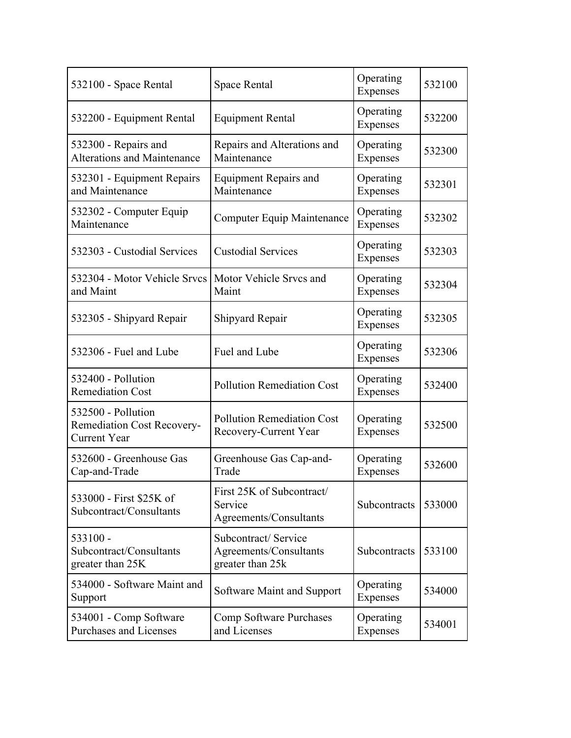| 532100 - Space Rental                                                   | Space Rental                                                      | Operating<br>Expenses | 532100 |
|-------------------------------------------------------------------------|-------------------------------------------------------------------|-----------------------|--------|
| 532200 - Equipment Rental                                               | <b>Equipment Rental</b>                                           | Operating<br>Expenses | 532200 |
| 532300 - Repairs and<br><b>Alterations and Maintenance</b>              | Repairs and Alterations and<br>Maintenance                        | Operating<br>Expenses | 532300 |
| 532301 - Equipment Repairs<br>and Maintenance                           | <b>Equipment Repairs and</b><br>Maintenance                       | Operating<br>Expenses | 532301 |
| 532302 - Computer Equip<br>Maintenance                                  | Computer Equip Maintenance                                        | Operating<br>Expenses | 532302 |
| 532303 - Custodial Services                                             | <b>Custodial Services</b>                                         | Operating<br>Expenses | 532303 |
| 532304 - Motor Vehicle Srvcs<br>and Maint                               | Motor Vehicle Srvcs and<br>Maint                                  | Operating<br>Expenses | 532304 |
| 532305 - Shipyard Repair                                                | Shipyard Repair                                                   | Operating<br>Expenses | 532305 |
| 532306 - Fuel and Lube                                                  | Fuel and Lube                                                     | Operating<br>Expenses | 532306 |
| 532400 - Pollution<br><b>Remediation Cost</b>                           | <b>Pollution Remediation Cost</b>                                 | Operating<br>Expenses | 532400 |
| 532500 - Pollution<br>Remediation Cost Recovery-<br><b>Current Year</b> | <b>Pollution Remediation Cost</b><br>Recovery-Current Year        | Operating<br>Expenses | 532500 |
| 532600 - Greenhouse Gas<br>Cap-and-Trade                                | Greenhouse Gas Cap-and-<br>Trade                                  | Operating<br>Expenses | 532600 |
| 533000 - First \$25K of<br>Subcontract/Consultants                      | First 25K of Subcontract/<br>Service<br>Agreements/Consultants    | Subcontracts          | 533000 |
| 533100 -<br>Subcontract/Consultants<br>greater than 25K                 | Subcontract/Service<br>Agreements/Consultants<br>greater than 25k | Subcontracts          | 533100 |
| 534000 - Software Maint and<br>Support                                  | Software Maint and Support                                        | Operating<br>Expenses | 534000 |
| 534001 - Comp Software<br>Purchases and Licenses                        | Comp Software Purchases<br>and Licenses                           | Operating<br>Expenses | 534001 |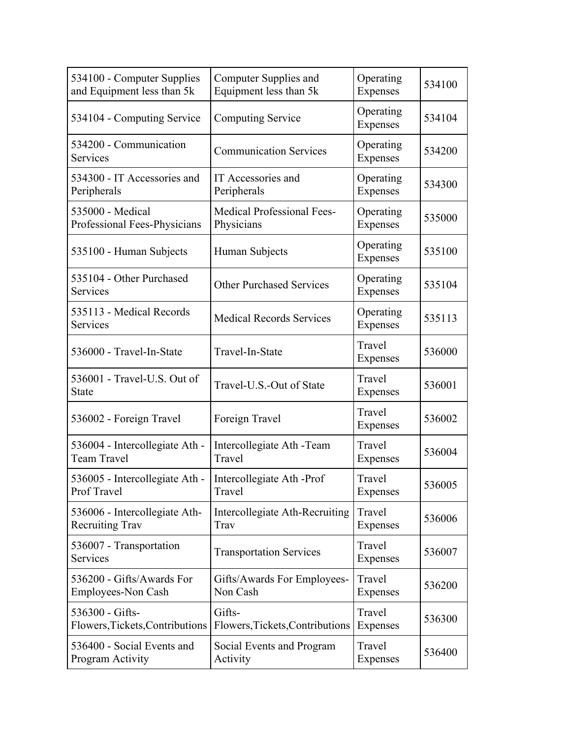| 534100 - Computer Supplies                  | Computer Supplies and             | Operating             | 534100 |
|---------------------------------------------|-----------------------------------|-----------------------|--------|
| and Equipment less than 5k                  | Equipment less than 5k            | Expenses              |        |
| 534104 - Computing Service                  | <b>Computing Service</b>          | Operating<br>Expenses | 534104 |
| 534200 - Communication<br>Services          | <b>Communication Services</b>     | Operating<br>Expenses | 534200 |
| 534300 - IT Accessories and                 | IT Accessories and                | Operating             | 534300 |
| Peripherals                                 | Peripherals                       | Expenses              |        |
| 535000 - Medical                            | <b>Medical Professional Fees-</b> | Operating             | 535000 |
| Professional Fees-Physicians                | Physicians                        | Expenses              |        |
| 535100 - Human Subjects                     | Human Subjects                    | Operating<br>Expenses | 535100 |
| 535104 - Other Purchased<br>Services        | <b>Other Purchased Services</b>   | Operating<br>Expenses | 535104 |
| 535113 - Medical Records<br>Services        | <b>Medical Records Services</b>   | Operating<br>Expenses | 535113 |
| 536000 - Travel-In-State                    | Travel-In-State                   | Travel<br>Expenses    | 536000 |
| 536001 - Travel-U.S. Out of<br><b>State</b> | Travel-U.S.-Out of State          | Travel<br>Expenses    | 536001 |
| 536002 - Foreign Travel                     | Foreign Travel                    | Travel<br>Expenses    | 536002 |
| 536004 - Intercollegiate Ath -              | Intercollegiate Ath - Team        | Travel                | 536004 |
| Team Travel                                 | Travel                            | Expenses              |        |
| 536005 - Intercollegiate Ath -              | Intercollegiate Ath -Prof         | Travel                | 536005 |
| Prof Travel                                 | Travel                            | Expenses              |        |
| 536006 - Intercollegiate Ath-               | Intercollegiate Ath-Recruiting    | Travel                | 536006 |
| <b>Recruiting Trav</b>                      | Trav                              | Expenses              |        |
| 536007 - Transportation<br>Services         | <b>Transportation Services</b>    | Travel<br>Expenses    | 536007 |
| 536200 - Gifts/Awards For                   | Gifts/Awards For Employees-       | Travel                | 536200 |
| Employees-Non Cash                          | Non Cash                          | Expenses              |        |
| 536300 - Gifts-                             | Gifts-                            | Travel                | 536300 |
| Flowers, Tickets, Contributions             | Flowers, Tickets, Contributions   | Expenses              |        |
| 536400 - Social Events and                  | Social Events and Program         | Travel                | 536400 |
| Program Activity                            | Activity                          | Expenses              |        |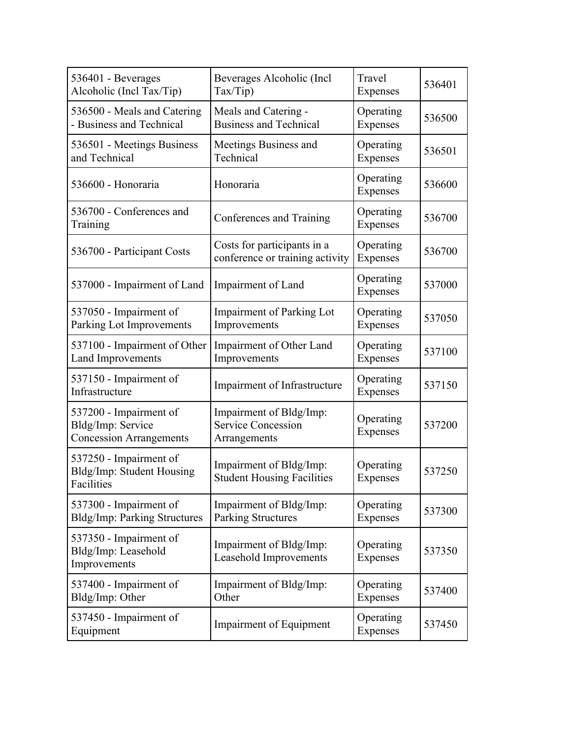| 536401 - Beverages<br>Alcoholic (Incl Tax/Tip)                                | Beverages Alcoholic (Incl.<br>Tax/Tip)                               | Travel<br>Expenses    | 536401 |
|-------------------------------------------------------------------------------|----------------------------------------------------------------------|-----------------------|--------|
| 536500 - Meals and Catering<br>- Business and Technical                       | Meals and Catering -<br><b>Business and Technical</b>                | Operating<br>Expenses | 536500 |
| 536501 - Meetings Business<br>and Technical                                   | Meetings Business and<br>Technical                                   | Operating<br>Expenses | 536501 |
| 536600 - Honoraria                                                            | Honoraria                                                            | Operating<br>Expenses | 536600 |
| 536700 - Conferences and<br>Training                                          | Conferences and Training                                             | Operating<br>Expenses | 536700 |
| 536700 - Participant Costs                                                    | Costs for participants in a<br>conference or training activity       | Operating<br>Expenses | 536700 |
| 537000 - Impairment of Land                                                   | Impairment of Land                                                   | Operating<br>Expenses | 537000 |
| 537050 - Impairment of<br>Parking Lot Improvements                            | Impairment of Parking Lot<br>Improvements                            | Operating<br>Expenses | 537050 |
| 537100 - Impairment of Other<br><b>Land Improvements</b>                      | Impairment of Other Land<br>Improvements                             | Operating<br>Expenses | 537100 |
| 537150 - Impairment of<br>Infrastructure                                      | Impairment of Infrastructure                                         | Operating<br>Expenses | 537150 |
| 537200 - Impairment of<br>Bldg/Imp: Service<br><b>Concession Arrangements</b> | Impairment of Bldg/Imp:<br><b>Service Concession</b><br>Arrangements | Operating<br>Expenses | 537200 |
| 537250 - Impairment of<br>Bldg/Imp: Student Housing<br>Facilities             | Impairment of Bldg/Imp:<br><b>Student Housing Facilities</b>         | Operating<br>Expenses | 537250 |
| 537300 - Impairment of<br>Bldg/Imp: Parking Structures                        | Impairment of Bldg/Imp:<br><b>Parking Structures</b>                 | Operating<br>Expenses | 537300 |
| 537350 - Impairment of<br>Bldg/Imp: Leasehold<br>Improvements                 | Impairment of Bldg/Imp:<br>Leasehold Improvements                    | Operating<br>Expenses | 537350 |
| 537400 - Impairment of<br>Bldg/Imp: Other                                     | Impairment of Bldg/Imp:<br>Other                                     | Operating<br>Expenses | 537400 |
| 537450 - Impairment of<br>Equipment                                           | Impairment of Equipment                                              | Operating<br>Expenses | 537450 |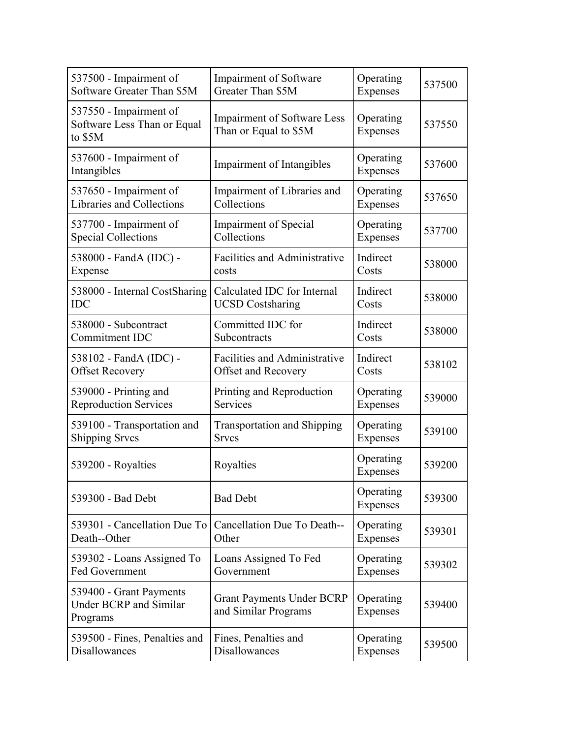| 537500 - Impairment of                                               | Impairment of Software                                      | Operating             | 537500 |
|----------------------------------------------------------------------|-------------------------------------------------------------|-----------------------|--------|
| Software Greater Than \$5M                                           | Greater Than \$5M                                           | Expenses              |        |
| 537550 - Impairment of<br>Software Less Than or Equal<br>to \$5M     | <b>Impairment of Software Less</b><br>Than or Equal to \$5M | Operating<br>Expenses | 537550 |
| 537600 - Impairment of<br>Intangibles                                | <b>Impairment of Intangibles</b>                            | Operating<br>Expenses | 537600 |
| 537650 - Impairment of                                               | Impairment of Libraries and                                 | Operating             | 537650 |
| Libraries and Collections                                            | Collections                                                 | Expenses              |        |
| 537700 - Impairment of                                               | <b>Impairment of Special</b>                                | Operating             | 537700 |
| <b>Special Collections</b>                                           | Collections                                                 | Expenses              |        |
| 538000 - FandA (IDC) -                                               | <b>Facilities and Administrative</b>                        | Indirect              | 538000 |
| Expense                                                              | costs                                                       | Costs                 |        |
| 538000 - Internal CostSharing                                        | Calculated IDC for Internal                                 | Indirect              | 538000 |
| <b>IDC</b>                                                           | <b>UCSD Costsharing</b>                                     | Costs                 |        |
| 538000 - Subcontract                                                 | Committed IDC for                                           | Indirect              | 538000 |
| Commitment IDC                                                       | Subcontracts                                                | Costs                 |        |
| 538102 - FandA (IDC) -                                               | <b>Facilities and Administrative</b>                        | Indirect              | 538102 |
| <b>Offset Recovery</b>                                               | Offset and Recovery                                         | Costs                 |        |
| 539000 - Printing and                                                | Printing and Reproduction                                   | Operating             | 539000 |
| <b>Reproduction Services</b>                                         | Services                                                    | Expenses              |        |
| 539100 - Transportation and                                          | <b>Transportation and Shipping</b>                          | Operating             | 539100 |
| <b>Shipping Srvcs</b>                                                | <b>Srvcs</b>                                                | Expenses              |        |
| 539200 - Royalties                                                   | Royalties                                                   | Operating<br>Expenses | 539200 |
| 539300 - Bad Debt                                                    | <b>Bad Debt</b>                                             | Operating<br>Expenses | 539300 |
| 539301 - Cancellation Due To                                         | Cancellation Due To Death--                                 | Operating             | 539301 |
| Death--Other                                                         | Other                                                       | Expenses              |        |
| 539302 - Loans Assigned To                                           | Loans Assigned To Fed                                       | Operating             | 539302 |
| <b>Fed Government</b>                                                | Government                                                  | Expenses              |        |
| 539400 - Grant Payments<br><b>Under BCRP</b> and Similar<br>Programs | <b>Grant Payments Under BCRP</b><br>and Similar Programs    | Operating<br>Expenses | 539400 |
| 539500 - Fines, Penalties and                                        | Fines, Penalties and                                        | Operating             | 539500 |
| Disallowances                                                        | <b>Disallowances</b>                                        | Expenses              |        |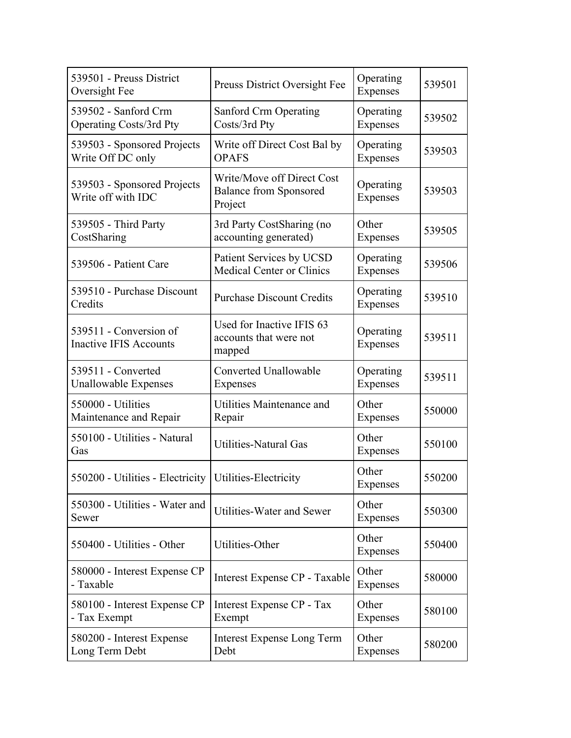| 539501 - Preuss District<br>Oversight Fee                | Preuss District Oversight Fee                                          | Operating<br><b>Expenses</b> | 539501 |
|----------------------------------------------------------|------------------------------------------------------------------------|------------------------------|--------|
| 539502 - Sanford Crm<br>Operating Costs/3rd Pty          | <b>Sanford Crm Operating</b><br>Costs/3rd Pty                          | Operating<br>Expenses        | 539502 |
| 539503 - Sponsored Projects<br>Write Off DC only         | Write off Direct Cost Bal by<br><b>OPAFS</b>                           | Operating<br>Expenses        | 539503 |
| 539503 - Sponsored Projects<br>Write off with IDC        | Write/Move off Direct Cost<br><b>Balance from Sponsored</b><br>Project | Operating<br>Expenses        | 539503 |
| 539505 - Third Party<br>CostSharing                      | 3rd Party CostSharing (no<br>accounting generated)                     | Other<br>Expenses            | 539505 |
| 539506 - Patient Care                                    | Patient Services by UCSD<br><b>Medical Center or Clinics</b>           | Operating<br>Expenses        | 539506 |
| 539510 - Purchase Discount<br>Credits                    | <b>Purchase Discount Credits</b>                                       | Operating<br>Expenses        | 539510 |
| 539511 - Conversion of<br><b>Inactive IFIS Accounts</b>  | Used for Inactive IFIS 63<br>accounts that were not<br>mapped          | Operating<br>Expenses        | 539511 |
| 539511 - Converted<br><b>Unallowable Expenses</b>        | Converted Unallowable<br>Expenses                                      | Operating<br>Expenses        | 539511 |
| 550000 - Utilities<br>Maintenance and Repair             | Utilities Maintenance and<br>Repair                                    | Other<br>Expenses            | 550000 |
| 550100 - Utilities - Natural<br>Gas                      | <b>Utilities-Natural Gas</b>                                           | Other<br>Expenses            | 550100 |
| 550200 - Utilities - Electricity   Utilities-Electricity |                                                                        | Other<br>Expenses            | 550200 |
| 550300 - Utilities - Water and<br>Sewer                  | Utilities-Water and Sewer                                              | Other<br>Expenses            | 550300 |
| 550400 - Utilities - Other                               | Utilities-Other                                                        | Other<br>Expenses            | 550400 |
| 580000 - Interest Expense CP<br>- Taxable                | Interest Expense CP - Taxable                                          | Other<br>Expenses            | 580000 |
| 580100 - Interest Expense CP<br>- Tax Exempt             | Interest Expense CP - Tax<br>Exempt                                    | Other<br>Expenses            | 580100 |
| 580200 - Interest Expense<br>Long Term Debt              | <b>Interest Expense Long Term</b><br>Debt                              | Other<br>Expenses            | 580200 |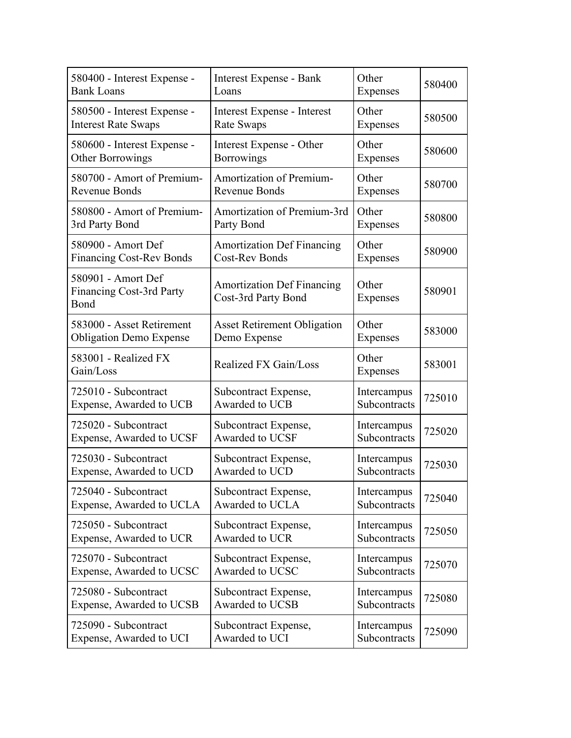| 580400 - Interest Expense -                                   | Interest Expense - Bank                                  | Other             | 580400 |
|---------------------------------------------------------------|----------------------------------------------------------|-------------------|--------|
| <b>Bank Loans</b>                                             | Loans                                                    | Expenses          |        |
| 580500 - Interest Expense -                                   | Interest Expense - Interest                              | Other             | 580500 |
| <b>Interest Rate Swaps</b>                                    | Rate Swaps                                               | Expenses          |        |
| 580600 - Interest Expense -                                   | Interest Expense - Other                                 | Other             | 580600 |
| <b>Other Borrowings</b>                                       | <b>Borrowings</b>                                        | Expenses          |        |
| 580700 - Amort of Premium-                                    | <b>Amortization of Premium-</b>                          | Other             | 580700 |
| Revenue Bonds                                                 | Revenue Bonds                                            | Expenses          |        |
| 580800 - Amort of Premium-                                    | Amortization of Premium-3rd                              | Other             | 580800 |
| 3rd Party Bond                                                | Party Bond                                               | Expenses          |        |
| 580900 - Amort Def                                            | <b>Amortization Def Financing</b>                        | Other             | 580900 |
| <b>Financing Cost-Rev Bonds</b>                               | <b>Cost-Rev Bonds</b>                                    | <b>Expenses</b>   |        |
| 580901 - Amort Def<br><b>Financing Cost-3rd Party</b><br>Bond | <b>Amortization Def Financing</b><br>Cost-3rd Party Bond | Other<br>Expenses | 580901 |
| 583000 - Asset Retirement                                     | <b>Asset Retirement Obligation</b>                       | Other             | 583000 |
| <b>Obligation Demo Expense</b>                                | Demo Expense                                             | Expenses          |        |
| 583001 - Realized FX<br>Gain/Loss                             | Realized FX Gain/Loss                                    | Other<br>Expenses | 583001 |
| 725010 - Subcontract                                          | Subcontract Expense,                                     | Intercampus       | 725010 |
| Expense, Awarded to UCB                                       | Awarded to UCB                                           | Subcontracts      |        |
| 725020 - Subcontract                                          | Subcontract Expense,                                     | Intercampus       | 725020 |
| Expense, Awarded to UCSF                                      | Awarded to UCSF                                          | Subcontracts      |        |
| 725030 - Subcontract                                          | Subcontract Expense,                                     | Intercampus       | 725030 |
| Expense, Awarded to UCD                                       | Awarded to UCD                                           | Subcontracts      |        |
| 725040 - Subcontract                                          | Subcontract Expense,                                     | Intercampus       | 725040 |
| Expense, Awarded to UCLA                                      | Awarded to UCLA                                          | Subcontracts      |        |
| 725050 - Subcontract                                          | Subcontract Expense,                                     | Intercampus       | 725050 |
| Expense, Awarded to UCR                                       | Awarded to UCR                                           | Subcontracts      |        |
| 725070 - Subcontract                                          | Subcontract Expense,                                     | Intercampus       | 725070 |
| Expense, Awarded to UCSC                                      | Awarded to UCSC                                          | Subcontracts      |        |
| 725080 - Subcontract                                          | Subcontract Expense,                                     | Intercampus       | 725080 |
| Expense, Awarded to UCSB                                      | Awarded to UCSB                                          | Subcontracts      |        |
| 725090 - Subcontract                                          | Subcontract Expense,                                     | Intercampus       | 725090 |
| Expense, Awarded to UCI                                       | Awarded to UCI                                           | Subcontracts      |        |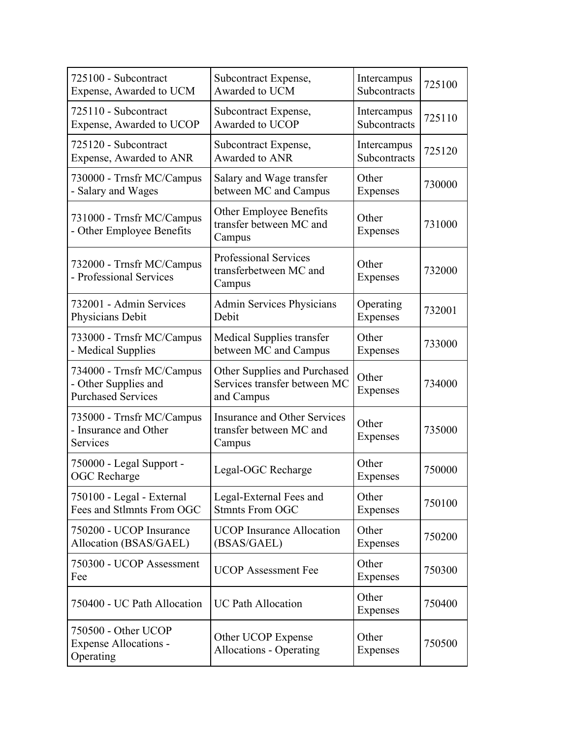| 725100 - Subcontract                                                           | Subcontract Expense,                                                       | Intercampus       | 725100 |
|--------------------------------------------------------------------------------|----------------------------------------------------------------------------|-------------------|--------|
| Expense, Awarded to UCM                                                        | Awarded to UCM                                                             | Subcontracts      |        |
| 725110 - Subcontract                                                           | Subcontract Expense,                                                       | Intercampus       | 725110 |
| Expense, Awarded to UCOP                                                       | Awarded to UCOP                                                            | Subcontracts      |        |
| 725120 - Subcontract                                                           | Subcontract Expense,                                                       | Intercampus       | 725120 |
| Expense, Awarded to ANR                                                        | Awarded to ANR                                                             | Subcontracts      |        |
| 730000 - Trnsfr MC/Campus                                                      | Salary and Wage transfer                                                   | Other             | 730000 |
| - Salary and Wages                                                             | between MC and Campus                                                      | Expenses          |        |
| 731000 - Trnsfr MC/Campus<br>- Other Employee Benefits                         | Other Employee Benefits<br>transfer between MC and<br>Campus               | Other<br>Expenses | 731000 |
| 732000 - Trnsfr MC/Campus<br>- Professional Services                           | <b>Professional Services</b><br>transferbetween MC and<br>Campus           | Other<br>Expenses | 732000 |
| 732001 - Admin Services                                                        | <b>Admin Services Physicians</b>                                           | Operating         | 732001 |
| Physicians Debit                                                               | Debit                                                                      | Expenses          |        |
| 733000 - Trnsfr MC/Campus                                                      | Medical Supplies transfer                                                  | Other             | 733000 |
| - Medical Supplies                                                             | between MC and Campus                                                      | <b>Expenses</b>   |        |
| 734000 - Trnsfr MC/Campus<br>- Other Supplies and<br><b>Purchased Services</b> | Other Supplies and Purchased<br>Services transfer between MC<br>and Campus | Other<br>Expenses | 734000 |
| 735000 - Trnsfr MC/Campus<br>- Insurance and Other<br>Services                 | <b>Insurance and Other Services</b><br>transfer between MC and<br>Campus   | Other<br>Expenses | 735000 |
| 750000 - Legal Support -<br><b>OGC</b> Recharge                                | Legal-OGC Recharge                                                         | Other<br>Expenses | 750000 |
| 750100 - Legal - External                                                      | Legal-External Fees and                                                    | Other             | 750100 |
| Fees and Stlmnts From OGC                                                      | <b>Stmnts From OGC</b>                                                     | Expenses          |        |
| 750200 - UCOP Insurance                                                        | <b>UCOP</b> Insurance Allocation                                           | Other             | 750200 |
| Allocation (BSAS/GAEL)                                                         | (BSAS/GAEL)                                                                | Expenses          |        |
| 750300 - UCOP Assessment<br>Fee                                                | <b>UCOP</b> Assessment Fee                                                 | Other<br>Expenses | 750300 |
| 750400 - UC Path Allocation                                                    | <b>UC Path Allocation</b>                                                  | Other<br>Expenses | 750400 |
| 750500 - Other UCOP<br><b>Expense Allocations -</b><br>Operating               | Other UCOP Expense<br><b>Allocations - Operating</b>                       | Other<br>Expenses | 750500 |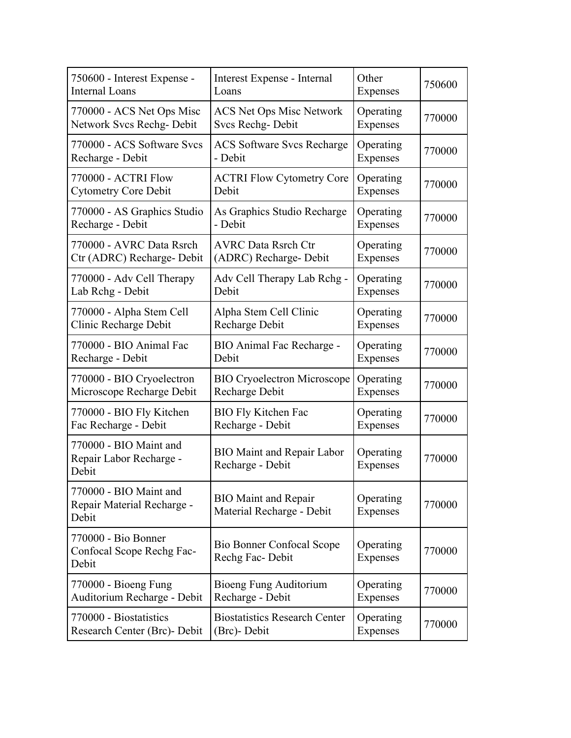| 750600 - Interest Expense -                                   | Interest Expense - Internal                              | Other                 | 750600 |
|---------------------------------------------------------------|----------------------------------------------------------|-----------------------|--------|
| <b>Internal Loans</b>                                         | Loans                                                    | Expenses              |        |
| 770000 - ACS Net Ops Misc                                     | <b>ACS Net Ops Misc Network</b>                          | Operating             | 770000 |
| Network Svcs Rechg-Debit                                      | Svcs Rechg-Debit                                         | Expenses              |        |
| 770000 - ACS Software Svcs                                    | <b>ACS Software Svcs Recharge</b>                        | Operating             | 770000 |
| Recharge - Debit                                              | - Debit                                                  | Expenses              |        |
| 770000 - ACTRI Flow                                           | <b>ACTRI Flow Cytometry Core</b>                         | Operating             | 770000 |
| <b>Cytometry Core Debit</b>                                   | Debit                                                    | Expenses              |        |
| 770000 - AS Graphics Studio                                   | As Graphics Studio Recharge                              | Operating             | 770000 |
| Recharge - Debit                                              | - Debit                                                  | Expenses              |        |
| 770000 - AVRC Data Rsrch                                      | <b>AVRC Data Rsrch Ctr</b>                               | Operating             | 770000 |
| Ctr (ADRC) Recharge- Debit                                    | (ADRC) Recharge- Debit                                   | Expenses              |        |
| 770000 - Adv Cell Therapy                                     | Adv Cell Therapy Lab Rchg -                              | Operating             | 770000 |
| Lab Rchg - Debit                                              | Debit                                                    | Expenses              |        |
| 770000 - Alpha Stem Cell                                      | Alpha Stem Cell Clinic                                   | Operating             | 770000 |
| Clinic Recharge Debit                                         | Recharge Debit                                           | Expenses              |        |
| 770000 - BIO Animal Fac                                       | BIO Animal Fac Recharge -                                | Operating             | 770000 |
| Recharge - Debit                                              | Debit                                                    | Expenses              |        |
| 770000 - BIO Cryoelectron                                     | <b>BIO Cryoelectron Microscope</b>                       | Operating             | 770000 |
| Microscope Recharge Debit                                     | Recharge Debit                                           | Expenses              |        |
| 770000 - BIO Fly Kitchen                                      | <b>BIO Fly Kitchen Fac</b>                               | Operating             | 770000 |
| Fac Recharge - Debit                                          | Recharge - Debit                                         | Expenses              |        |
| 770000 - BIO Maint and<br>Repair Labor Recharge -<br>Debit    | <b>BIO Maint and Repair Labor</b><br>Recharge - Debit    | Operating<br>Expenses | 770000 |
| 770000 - BIO Maint and<br>Repair Material Recharge -<br>Debit | <b>BIO</b> Maint and Repair<br>Material Recharge - Debit | Operating<br>Expenses | 770000 |
| 770000 - Bio Bonner<br>Confocal Scope Rechg Fac-<br>Debit     | Bio Bonner Confocal Scope<br>Rechg Fac-Debit             | Operating<br>Expenses | 770000 |
| 770000 - Bioeng Fung                                          | Bioeng Fung Auditorium                                   | Operating             | 770000 |
| Auditorium Recharge - Debit                                   | Recharge - Debit                                         | Expenses              |        |
| 770000 - Biostatistics                                        | <b>Biostatistics Research Center</b>                     | Operating             | 770000 |
| Research Center (Brc)- Debit                                  | (Brc)- Debit                                             | Expenses              |        |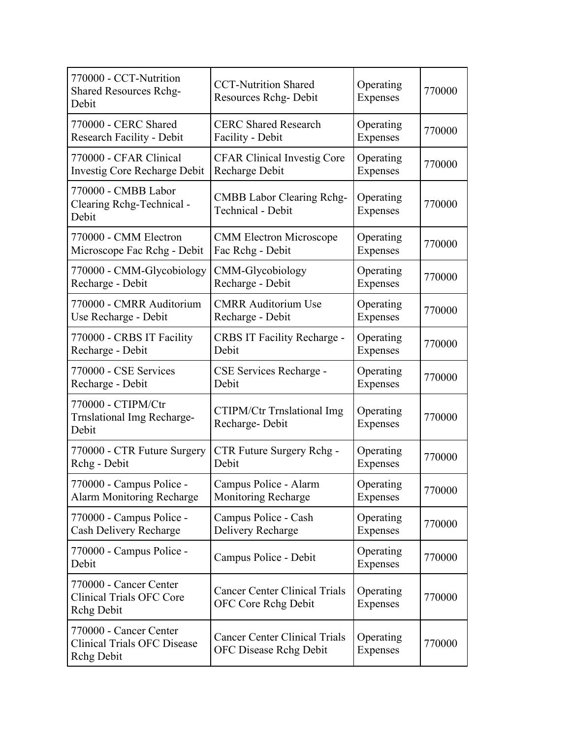| 770000 - CCT-Nutrition<br><b>Shared Resources Rchg-</b><br>Debit           | <b>CCT-Nutrition Shared</b><br>Resources Rchg-Debit                   | Operating<br>Expenses | 770000 |
|----------------------------------------------------------------------------|-----------------------------------------------------------------------|-----------------------|--------|
| 770000 - CERC Shared                                                       | <b>CERC Shared Research</b>                                           | Operating             | 770000 |
| <b>Research Facility - Debit</b>                                           | Facility - Debit                                                      | Expenses              |        |
| 770000 - CFAR Clinical                                                     | <b>CFAR Clinical Investig Core</b>                                    | Operating             | 770000 |
| <b>Investig Core Recharge Debit</b>                                        | Recharge Debit                                                        | Expenses              |        |
| 770000 - CMBB Labor<br>Clearing Rchg-Technical -<br>Debit                  | <b>CMBB Labor Clearing Rchg-</b><br>Technical - Debit                 | Operating<br>Expenses | 770000 |
| 770000 - CMM Electron                                                      | <b>CMM Electron Microscope</b>                                        | Operating             | 770000 |
| Microscope Fac Rchg - Debit                                                | Fac Rchg - Debit                                                      | Expenses              |        |
| 770000 - CMM-Glycobiology                                                  | CMM-Glycobiology                                                      | Operating             | 770000 |
| Recharge - Debit                                                           | Recharge - Debit                                                      | Expenses              |        |
| 770000 - CMRR Auditorium                                                   | <b>CMRR Auditorium Use</b>                                            | Operating             | 770000 |
| Use Recharge - Debit                                                       | Recharge - Debit                                                      | Expenses              |        |
| 770000 - CRBS IT Facility                                                  | <b>CRBS IT Facility Recharge -</b>                                    | Operating             | 770000 |
| Recharge - Debit                                                           | Debit                                                                 | Expenses              |        |
| 770000 - CSE Services                                                      | CSE Services Recharge -                                               | Operating             | 770000 |
| Recharge - Debit                                                           | Debit                                                                 | Expenses              |        |
| 770000 - CTIPM/Ctr<br><b>Trnslational Img Recharge-</b><br>Debit           | <b>CTIPM/Ctr Trnslational Img</b><br>Recharge-Debit                   | Operating<br>Expenses | 770000 |
| 770000 - CTR Future Surgery                                                | CTR Future Surgery Rchg -                                             | Operating             | 770000 |
| Rchg - Debit                                                               | Debit                                                                 | Expenses              |        |
| 770000 - Campus Police -                                                   | Campus Police - Alarm                                                 | Operating             | 770000 |
| Alarm Monitoring Recharge                                                  | <b>Monitoring Recharge</b>                                            | Expenses              |        |
| 770000 - Campus Police -                                                   | Campus Police - Cash                                                  | Operating             | 770000 |
| Cash Delivery Recharge                                                     | Delivery Recharge                                                     | Expenses              |        |
| 770000 - Campus Police -<br>Debit                                          | Campus Police - Debit                                                 | Operating<br>Expenses | 770000 |
| 770000 - Cancer Center<br><b>Clinical Trials OFC Core</b><br>Rchg Debit    | <b>Cancer Center Clinical Trials</b><br><b>OFC Core Rchg Debit</b>    | Operating<br>Expenses | 770000 |
| 770000 - Cancer Center<br><b>Clinical Trials OFC Disease</b><br>Rchg Debit | <b>Cancer Center Clinical Trials</b><br><b>OFC Disease Rchg Debit</b> | Operating<br>Expenses | 770000 |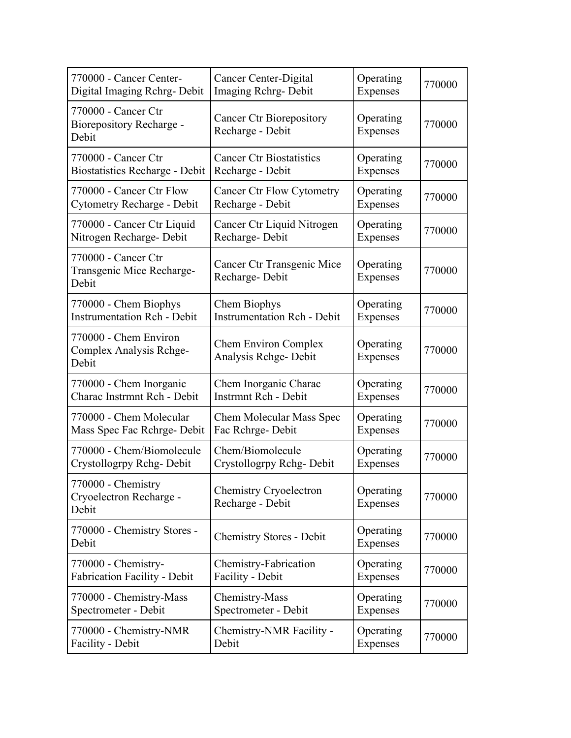| 770000 - Cancer Center-                                         | Cancer Center-Digital                               | Operating             | 770000 |
|-----------------------------------------------------------------|-----------------------------------------------------|-----------------------|--------|
| Digital Imaging Rchrg-Debit                                     | Imaging Rchrg-Debit                                 | Expenses              |        |
| 770000 - Cancer Ctr<br><b>Biorepository Recharge -</b><br>Debit | <b>Cancer Ctr Biorepository</b><br>Recharge - Debit | Operating<br>Expenses | 770000 |
| 770000 - Cancer Ctr                                             | <b>Cancer Ctr Biostatistics</b>                     | Operating             | 770000 |
| <b>Biostatistics Recharge - Debit</b>                           | Recharge - Debit                                    | Expenses              |        |
| 770000 - Cancer Ctr Flow                                        | <b>Cancer Ctr Flow Cytometry</b>                    | Operating             | 770000 |
| Cytometry Recharge - Debit                                      | Recharge - Debit                                    | Expenses              |        |
| 770000 - Cancer Ctr Liquid                                      | Cancer Ctr Liquid Nitrogen                          | Operating             | 770000 |
| Nitrogen Recharge- Debit                                        | Recharge-Debit                                      | Expenses              |        |
| 770000 - Cancer Ctr<br>Transgenic Mice Recharge-<br>Debit       | Cancer Ctr Transgenic Mice<br>Recharge-Debit        | Operating<br>Expenses | 770000 |
| 770000 - Chem Biophys                                           | Chem Biophys                                        | Operating             | 770000 |
| <b>Instrumentation Rch - Debit</b>                              | <b>Instrumentation Rch - Debit</b>                  | Expenses              |        |
| 770000 - Chem Environ<br>Complex Analysis Rchge-<br>Debit       | <b>Chem Environ Complex</b><br>Analysis Rchge-Debit | Operating<br>Expenses | 770000 |
| 770000 - Chem Inorganic                                         | Chem Inorganic Charac                               | Operating             | 770000 |
| Charac Instrmnt Rch - Debit                                     | Instrmnt Rch - Debit                                | Expenses              |        |
| 770000 - Chem Molecular                                         | Chem Molecular Mass Spec                            | Operating             | 770000 |
| Mass Spec Fac Rchrge- Debit                                     | Fac Rchrge-Debit                                    | Expenses              |        |
| 770000 - Chem/Biomolecule                                       | Chem/Biomolecule                                    | Operating             | 770000 |
| Crystollogrpy Rchg-Debit                                        | Crystollogrpy Rchg-Debit                            | Expenses              |        |
| 770000 - Chemistry<br>Cryoelectron Recharge -<br>Debit          | <b>Chemistry Cryoelectron</b><br>Recharge - Debit   | Operating<br>Expenses | 770000 |
| 770000 - Chemistry Stores -<br>Debit                            | <b>Chemistry Stores - Debit</b>                     | Operating<br>Expenses | 770000 |
| 770000 - Chemistry-                                             | Chemistry-Fabrication                               | Operating             | 770000 |
| <b>Fabrication Facility - Debit</b>                             | Facility - Debit                                    | Expenses              |        |
| 770000 - Chemistry-Mass                                         | Chemistry-Mass                                      | Operating             | 770000 |
| Spectrometer - Debit                                            | Spectrometer - Debit                                | Expenses              |        |
| 770000 - Chemistry-NMR                                          | Chemistry-NMR Facility -                            | Operating             | 770000 |
| Facility - Debit                                                | Debit                                               | Expenses              |        |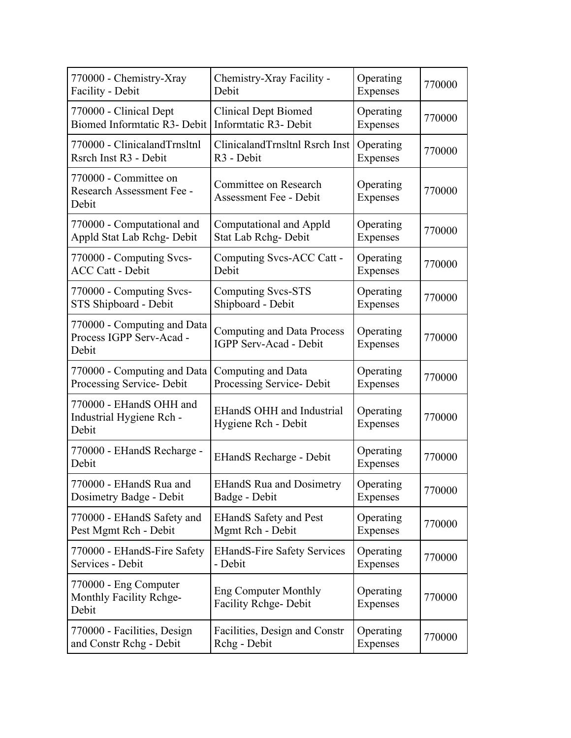| 770000 - Chemistry-Xray                                          | Chemistry-Xray Facility -                                   | Operating                    | 770000 |
|------------------------------------------------------------------|-------------------------------------------------------------|------------------------------|--------|
| Facility - Debit                                                 | Debit                                                       | Expenses                     |        |
| 770000 - Clinical Dept                                           | <b>Clinical Dept Biomed</b>                                 | Operating                    | 770000 |
| Biomed Informtatic R3- Debit                                     | Informtatic R3- Debit                                       | Expenses                     |        |
| 770000 - ClinicalandTrnsltnl                                     | ClinicalandTrnsltnl Rsrch Inst                              | Operating                    | 770000 |
| Rsrch Inst R3 - Debit                                            | R <sub>3</sub> - Debit                                      | Expenses                     |        |
| 770000 - Committee on<br>Research Assessment Fee -<br>Debit      | Committee on Research<br><b>Assessment Fee - Debit</b>      | Operating<br>Expenses        | 770000 |
| 770000 - Computational and                                       | Computational and Appld                                     | Operating                    | 770000 |
| Appld Stat Lab Rchg-Debit                                        | Stat Lab Rchg-Debit                                         | Expenses                     |        |
| 770000 - Computing Svcs-                                         | Computing Svcs-ACC Catt -                                   | Operating                    | 770000 |
| <b>ACC Catt - Debit</b>                                          | Debit                                                       | Expenses                     |        |
| 770000 - Computing Svcs-                                         | <b>Computing Svcs-STS</b>                                   | Operating                    | 770000 |
| STS Shipboard - Debit                                            | Shipboard - Debit                                           | Expenses                     |        |
| 770000 - Computing and Data<br>Process IGPP Serv-Acad -<br>Debit | <b>Computing and Data Process</b><br>IGPP Serv-Acad - Debit | Operating<br><b>Expenses</b> | 770000 |
| 770000 - Computing and Data                                      | Computing and Data                                          | Operating                    | 770000 |
| Processing Service- Debit                                        | Processing Service- Debit                                   | Expenses                     |        |
| 770000 - EHandS OHH and<br>Industrial Hygiene Rch -<br>Debit     | <b>EHandS OHH and Industrial</b><br>Hygiene Rch - Debit     | Operating<br>Expenses        | 770000 |
| 770000 - EHandS Recharge -<br>Debit                              | <b>EHandS Recharge - Debit</b>                              | Operating<br>Expenses        | 770000 |
| 770000 - EHandS Rua and                                          | <b>EHandS Rua and Dosimetry</b>                             | Operating                    | 770000 |
| Dosimetry Badge - Debit                                          | Badge - Debit                                               | <b>Expenses</b>              |        |
| 770000 - EHandS Safety and                                       | <b>EHandS Safety and Pest</b>                               | Operating                    | 770000 |
| Pest Mgmt Rch - Debit                                            | Mgmt Rch - Debit                                            | Expenses                     |        |
| 770000 - EHandS-Fire Safety                                      | <b>EHandS-Fire Safety Services</b>                          | Operating                    | 770000 |
| Services - Debit                                                 | - Debit                                                     | Expenses                     |        |
| 770000 - Eng Computer<br>Monthly Facility Rehge-<br>Debit        | <b>Eng Computer Monthly</b><br><b>Facility Rchge-Debit</b>  | Operating<br>Expenses        | 770000 |
| 770000 - Facilities, Design                                      | Facilities, Design and Constr                               | Operating                    | 770000 |
| and Constr Rchg - Debit                                          | Rchg - Debit                                                | Expenses                     |        |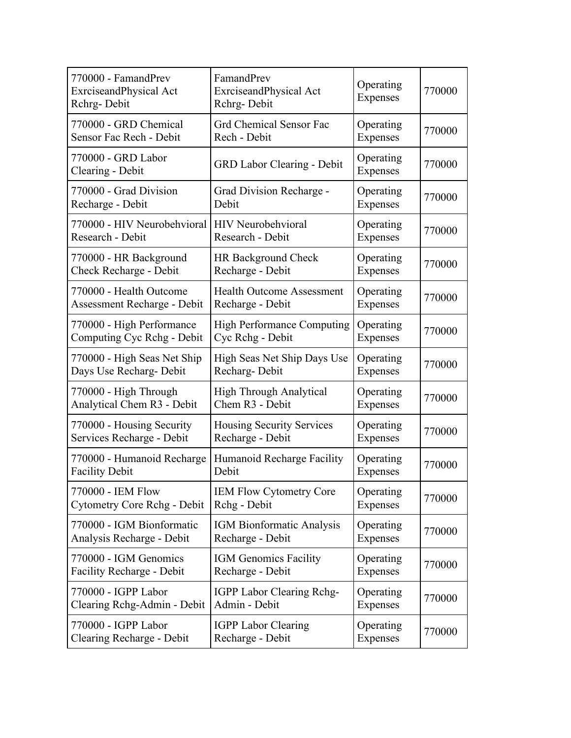| 770000 - FamandPrev<br>ExrciseandPhysical Act<br>Rchrg-Debit | FamandPrev<br>ExrciseandPhysical Act<br>Rchrg-Debit | Operating<br>Expenses | 770000 |
|--------------------------------------------------------------|-----------------------------------------------------|-----------------------|--------|
| 770000 - GRD Chemical                                        | <b>Grd Chemical Sensor Fac</b>                      | Operating             | 770000 |
| Sensor Fac Rech - Debit                                      | Rech - Debit                                        | Expenses              |        |
| 770000 - GRD Labor<br>Clearing - Debit                       | <b>GRD Labor Clearing - Debit</b>                   | Operating<br>Expenses | 770000 |
| 770000 - Grad Division                                       | Grad Division Recharge -                            | Operating             | 770000 |
| Recharge - Debit                                             | Debit                                               | Expenses              |        |
| 770000 - HIV Neurobehvioral                                  | <b>HIV</b> Neurobehvioral                           | Operating             | 770000 |
| Research - Debit                                             | Research - Debit                                    | Expenses              |        |
| 770000 - HR Background                                       | HR Background Check                                 | Operating             | 770000 |
| Check Recharge - Debit                                       | Recharge - Debit                                    | Expenses              |        |
| 770000 - Health Outcome                                      | <b>Health Outcome Assessment</b>                    | Operating             | 770000 |
| Assessment Recharge - Debit                                  | Recharge - Debit                                    | Expenses              |        |
| 770000 - High Performance                                    | <b>High Performance Computing</b>                   | Operating             | 770000 |
| Computing Cyc Rehg - Debit                                   | Cyc Rchg - Debit                                    | Expenses              |        |
| 770000 - High Seas Net Ship                                  | High Seas Net Ship Days Use                         | Operating             | 770000 |
| Days Use Recharg- Debit                                      | Recharg-Debit                                       | Expenses              |        |
| 770000 - High Through                                        | High Through Analytical                             | Operating             | 770000 |
| Analytical Chem R3 - Debit                                   | Chem R3 - Debit                                     | Expenses              |        |
| 770000 - Housing Security                                    | <b>Housing Security Services</b>                    | Operating             | 770000 |
| Services Recharge - Debit                                    | Recharge - Debit                                    | Expenses              |        |
| 770000 - Humanoid Recharge                                   | Humanoid Recharge Facility                          | Operating             | 770000 |
| <b>Facility Debit</b>                                        | Debit                                               | Expenses              |        |
| 770000 - IEM Flow                                            | <b>IEM Flow Cytometry Core</b>                      | Operating             | 770000 |
| <b>Cytometry Core Rchg - Debit</b>                           | Rchg - Debit                                        | Expenses              |        |
| 770000 - IGM Bionformatic                                    | IGM Bionformatic Analysis                           | Operating             | 770000 |
| Analysis Recharge - Debit                                    | Recharge - Debit                                    | Expenses              |        |
| 770000 - IGM Genomics                                        | <b>IGM Genomics Facility</b>                        | Operating             | 770000 |
| Facility Recharge - Debit                                    | Recharge - Debit                                    | Expenses              |        |
| 770000 - IGPP Labor                                          | IGPP Labor Clearing Rchg-                           | Operating             | 770000 |
| Clearing Rchg-Admin - Debit                                  | Admin - Debit                                       | Expenses              |        |
| 770000 - IGPP Labor                                          | <b>IGPP Labor Clearing</b>                          | Operating             | 770000 |
| Clearing Recharge - Debit                                    | Recharge - Debit                                    | Expenses              |        |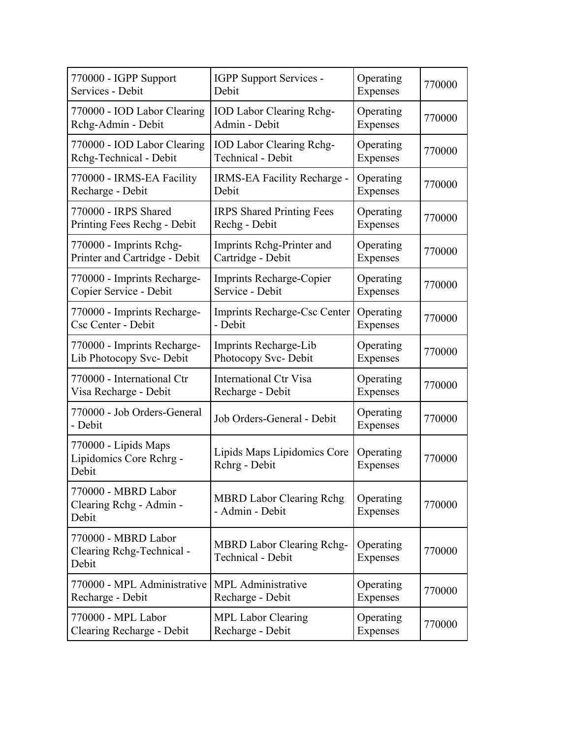| 770000 - IGPP Support                                     | IGPP Support Services -                                      | Operating             | 770000 |
|-----------------------------------------------------------|--------------------------------------------------------------|-----------------------|--------|
| Services - Debit                                          | Debit                                                        | Expenses              |        |
| 770000 - IOD Labor Clearing                               | <b>IOD Labor Clearing Rchg-</b>                              | Operating             | 770000 |
| Rchg-Admin - Debit                                        | Admin - Debit                                                | Expenses              |        |
| 770000 - IOD Labor Clearing                               | <b>IOD Labor Clearing Rchg-</b>                              | Operating             | 770000 |
| Rchg-Technical - Debit                                    | <b>Technical - Debit</b>                                     | Expenses              |        |
| 770000 - IRMS-EA Facility                                 | IRMS-EA Facility Recharge -                                  | Operating             | 770000 |
| Recharge - Debit                                          | Debit                                                        | Expenses              |        |
| 770000 - IRPS Shared                                      | <b>IRPS</b> Shared Printing Fees                             | Operating             | 770000 |
| Printing Fees Rechg - Debit                               | Rechg - Debit                                                | Expenses              |        |
| 770000 - Imprints Rchg-                                   | Imprints Rchg-Printer and                                    | Operating             | 770000 |
| Printer and Cartridge - Debit                             | Cartridge - Debit                                            | Expenses              |        |
| 770000 - Imprints Recharge-                               | Imprints Recharge-Copier                                     | Operating             | 770000 |
| Copier Service - Debit                                    | Service - Debit                                              | Expenses              |        |
| 770000 - Imprints Recharge-                               | Imprints Recharge-Csc Center                                 | Operating             | 770000 |
| Csc Center - Debit                                        | - Debit                                                      | Expenses              |        |
| 770000 - Imprints Recharge-                               | Imprints Recharge-Lib                                        | Operating             | 770000 |
| Lib Photocopy Svc- Debit                                  | Photocopy Svc- Debit                                         | Expenses              |        |
| 770000 - International Ctr                                | <b>International Ctr Visa</b>                                | Operating             | 770000 |
| Visa Recharge - Debit                                     | Recharge - Debit                                             | Expenses              |        |
| 770000 - Job Orders-General<br>- Debit                    | Job Orders-General - Debit                                   | Operating<br>Expenses | 770000 |
| 770000 - Lipids Maps<br>Lipidomics Core Rchrg -<br>Debit  | Lipids Maps Lipidomics Core<br>Rchrg - Debit                 | Operating<br>Expenses | 770000 |
| 770000 - MBRD Labor<br>Clearing Rchg - Admin -<br>Debit   | <b>MBRD Labor Clearing Rchg</b><br>- Admin - Debit           | Operating<br>Expenses | 770000 |
| 770000 - MBRD Labor<br>Clearing Rchg-Technical -<br>Debit | <b>MBRD Labor Clearing Rchg-</b><br><b>Technical - Debit</b> | Operating<br>Expenses | 770000 |
| 770000 - MPL Administrative                               | <b>MPL</b> Administrative                                    | Operating             | 770000 |
| Recharge - Debit                                          | Recharge - Debit                                             | Expenses              |        |
| 770000 - MPL Labor                                        | <b>MPL Labor Clearing</b>                                    | Operating             | 770000 |
| Clearing Recharge - Debit                                 | Recharge - Debit                                             | Expenses              |        |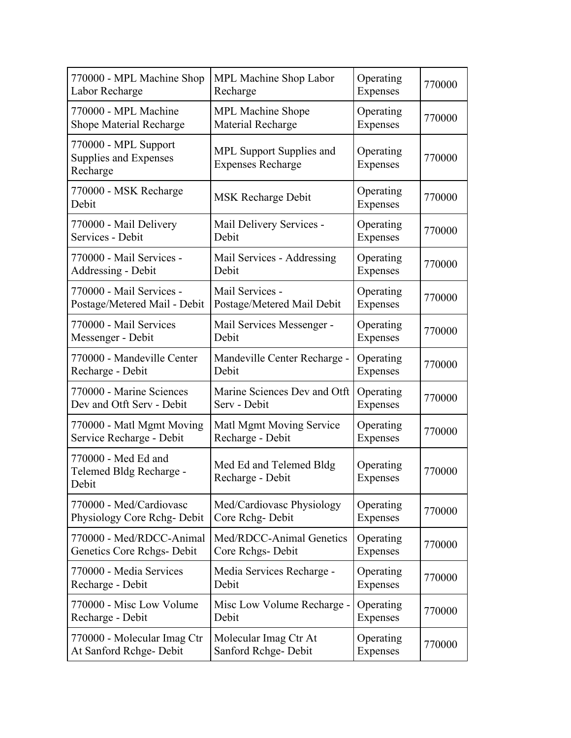| 770000 - MPL Machine Shop                                 | MPL Machine Shop Labor                               | Operating             | 770000 |
|-----------------------------------------------------------|------------------------------------------------------|-----------------------|--------|
| Labor Recharge                                            | Recharge                                             | Expenses              |        |
| 770000 - MPL Machine                                      | <b>MPL Machine Shope</b>                             | Operating             | 770000 |
| <b>Shope Material Recharge</b>                            | Material Recharge                                    | Expenses              |        |
| 770000 - MPL Support<br>Supplies and Expenses<br>Recharge | MPL Support Supplies and<br><b>Expenses Recharge</b> | Operating<br>Expenses | 770000 |
| 770000 - MSK Recharge<br>Debit                            | <b>MSK Recharge Debit</b>                            | Operating<br>Expenses | 770000 |
| 770000 - Mail Delivery                                    | Mail Delivery Services -                             | Operating             | 770000 |
| Services - Debit                                          | Debit                                                | Expenses              |        |
| 770000 - Mail Services -                                  | Mail Services - Addressing                           | Operating             | 770000 |
| Addressing - Debit                                        | Debit                                                | Expenses              |        |
| 770000 - Mail Services -                                  | Mail Services -                                      | Operating             | 770000 |
| Postage/Metered Mail - Debit                              | Postage/Metered Mail Debit                           | Expenses              |        |
| 770000 - Mail Services                                    | Mail Services Messenger -                            | Operating             | 770000 |
| Messenger - Debit                                         | Debit                                                | Expenses              |        |
| 770000 - Mandeville Center                                | Mandeville Center Recharge -                         | Operating             | 770000 |
| Recharge - Debit                                          | Debit                                                | Expenses              |        |
| 770000 - Marine Sciences                                  | Marine Sciences Dev and Otft                         | Operating             | 770000 |
| Dev and Otft Serv - Debit                                 | Serv - Debit                                         | Expenses              |        |
| 770000 - Matl Mgmt Moving                                 | Matl Mgmt Moving Service                             | Operating             | 770000 |
| Service Recharge - Debit                                  | Recharge - Debit                                     | Expenses              |        |
| 770000 - Med Ed and<br>Telemed Bldg Recharge -<br>Debit   | Med Ed and Telemed Bldg<br>Recharge - Debit          | Operating<br>Expenses | 770000 |
| 770000 - Med/Cardiovasc                                   | Med/Cardiovasc Physiology                            | Operating             | 770000 |
| Physiology Core Rchg-Debit                                | Core Rchg-Debit                                      | Expenses              |        |
| 770000 - Med/RDCC-Animal                                  | Med/RDCC-Animal Genetics                             | Operating             | 770000 |
| Genetics Core Rchgs- Debit                                | Core Rchgs-Debit                                     | Expenses              |        |
| 770000 - Media Services                                   | Media Services Recharge -                            | Operating             | 770000 |
| Recharge - Debit                                          | Debit                                                | Expenses              |        |
| 770000 - Misc Low Volume                                  | Misc Low Volume Recharge -                           | Operating             | 770000 |
| Recharge - Debit                                          | Debit                                                | Expenses              |        |
| 770000 - Molecular Imag Ctr                               | Molecular Imag Ctr At                                | Operating             | 770000 |
| At Sanford Rchge- Debit                                   | Sanford Rchge-Debit                                  | Expenses              |        |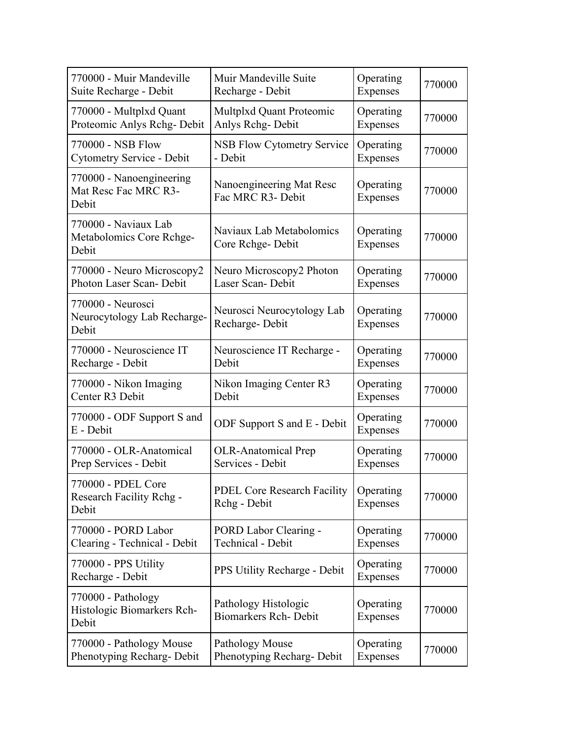| 770000 - Muir Mandeville                                  | Muir Mandeville Suite                                | Operating             | 770000 |
|-----------------------------------------------------------|------------------------------------------------------|-----------------------|--------|
| Suite Recharge - Debit                                    | Recharge - Debit                                     | Expenses              |        |
| 770000 - Multplxd Quant                                   | Multplxd Quant Proteomic                             | Operating             | 770000 |
| Proteomic Anlys Rchg-Debit                                | Anlys Rchg-Debit                                     | Expenses              |        |
| 770000 - NSB Flow                                         | <b>NSB Flow Cytometry Service</b>                    | Operating             | 770000 |
| Cytometry Service - Debit                                 | - Debit                                              | Expenses              |        |
| 770000 - Nanoengineering<br>Mat Resc Fac MRC R3-<br>Debit | Nanoengineering Mat Resc<br>Fac MRC R3- Debit        | Operating<br>Expenses | 770000 |
| 770000 - Naviaux Lab<br>Metabolomics Core Rchge-<br>Debit | Naviaux Lab Metabolomics<br>Core Rchge-Debit         | Operating<br>Expenses | 770000 |
| 770000 - Neuro Microscopy2                                | Neuro Microscopy2 Photon                             | Operating             | 770000 |
| Photon Laser Scan- Debit                                  | Laser Scan-Debit                                     | Expenses              |        |
| 770000 - Neurosci<br>Neurocytology Lab Recharge-<br>Debit | Neurosci Neurocytology Lab<br>Recharge-Debit         | Operating<br>Expenses | 770000 |
| 770000 - Neuroscience IT                                  | Neuroscience IT Recharge -                           | Operating             | 770000 |
| Recharge - Debit                                          | Debit                                                | Expenses              |        |
| 770000 - Nikon Imaging                                    | Nikon Imaging Center R3                              | Operating             | 770000 |
| Center R3 Debit                                           | Debit                                                | Expenses              |        |
| 770000 - ODF Support S and<br>E - Debit                   | ODF Support S and E - Debit                          | Operating<br>Expenses | 770000 |
| 770000 - OLR-Anatomical                                   | <b>OLR-Anatomical Prep</b>                           | Operating             | 770000 |
| Prep Services - Debit                                     | Services - Debit                                     | Expenses              |        |
| 770000 - PDEL Core<br>Research Facility Rchg -<br>Debit   | <b>PDEL Core Research Facility</b><br>Rchg - Debit   | Operating<br>Expenses | 770000 |
| 770000 - PORD Labor                                       | PORD Labor Clearing -                                | Operating             | 770000 |
| Clearing - Technical - Debit                              | <b>Technical - Debit</b>                             | Expenses              |        |
| 770000 - PPS Utility<br>Recharge - Debit                  | PPS Utility Recharge - Debit                         | Operating<br>Expenses | 770000 |
| 770000 - Pathology<br>Histologic Biomarkers Rch-<br>Debit | Pathology Histologic<br><b>Biomarkers Rch- Debit</b> | Operating<br>Expenses | 770000 |
| 770000 - Pathology Mouse                                  | Pathology Mouse                                      | Operating             | 770000 |
| Phenotyping Recharg- Debit                                | Phenotyping Recharg-Debit                            | Expenses              |        |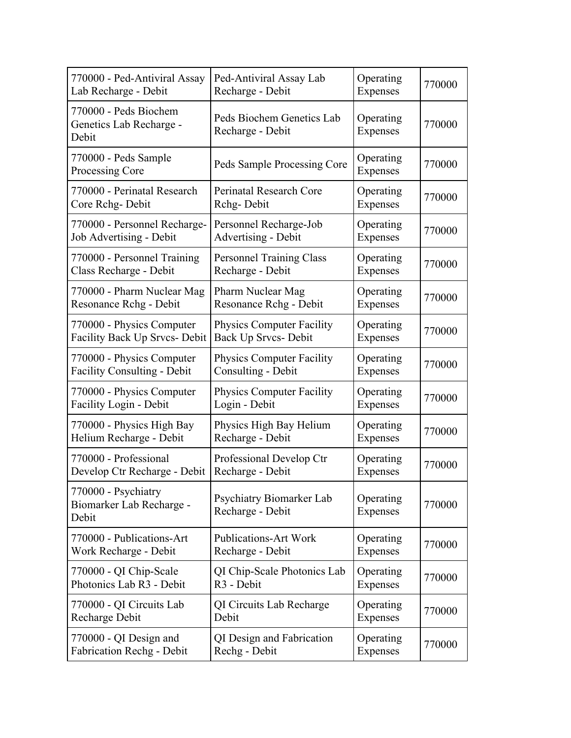| 770000 - Ped-Antiviral Assay                              | Ped-Antiviral Assay Lab                       | Operating             | 770000 |
|-----------------------------------------------------------|-----------------------------------------------|-----------------------|--------|
| Lab Recharge - Debit                                      | Recharge - Debit                              | Expenses              |        |
| 770000 - Peds Biochem<br>Genetics Lab Recharge -<br>Debit | Peds Biochem Genetics Lab<br>Recharge - Debit | Operating<br>Expenses | 770000 |
| 770000 - Peds Sample<br>Processing Core                   | Peds Sample Processing Core                   | Operating<br>Expenses | 770000 |
| 770000 - Perinatal Research                               | Perinatal Research Core                       | Operating             | 770000 |
| Core Rchg-Debit                                           | Rchg-Debit                                    | Expenses              |        |
| 770000 - Personnel Recharge-                              | Personnel Recharge-Job                        | Operating             | 770000 |
| Job Advertising - Debit                                   | <b>Advertising - Debit</b>                    | Expenses              |        |
| 770000 - Personnel Training                               | <b>Personnel Training Class</b>               | Operating             | 770000 |
| Class Recharge - Debit                                    | Recharge - Debit                              | Expenses              |        |
| 770000 - Pharm Nuclear Mag                                | Pharm Nuclear Mag                             | Operating             | 770000 |
| Resonance Rchg - Debit                                    | Resonance Rchg - Debit                        | Expenses              |        |
| 770000 - Physics Computer                                 | <b>Physics Computer Facility</b>              | Operating             | 770000 |
| Facility Back Up Srvcs- Debit                             | Back Up Srvcs- Debit                          | Expenses              |        |
| 770000 - Physics Computer                                 | <b>Physics Computer Facility</b>              | Operating             | 770000 |
| <b>Facility Consulting - Debit</b>                        | Consulting - Debit                            | Expenses              |        |
| 770000 - Physics Computer                                 | <b>Physics Computer Facility</b>              | Operating             | 770000 |
| <b>Facility Login - Debit</b>                             | Login - Debit                                 | Expenses              |        |
| 770000 - Physics High Bay                                 | Physics High Bay Helium                       | Operating             | 770000 |
| Helium Recharge - Debit                                   | Recharge - Debit                              | Expenses              |        |
| 770000 - Professional                                     | Professional Develop Ctr                      | Operating             | 770000 |
| Develop Ctr Recharge - Debit                              | Recharge - Debit                              | Expenses              |        |
| 770000 - Psychiatry<br>Biomarker Lab Recharge -<br>Debit  | Psychiatry Biomarker Lab<br>Recharge - Debit  | Operating<br>Expenses | 770000 |
| 770000 - Publications-Art                                 | <b>Publications-Art Work</b>                  | Operating             | 770000 |
| Work Recharge - Debit                                     | Recharge - Debit                              | Expenses              |        |
| 770000 - QI Chip-Scale                                    | QI Chip-Scale Photonics Lab                   | Operating             | 770000 |
| Photonics Lab R3 - Debit                                  | R <sub>3</sub> - Debit                        | Expenses              |        |
| 770000 - QI Circuits Lab                                  | QI Circuits Lab Recharge                      | Operating             | 770000 |
| Recharge Debit                                            | Debit                                         | Expenses              |        |
| 770000 - QI Design and                                    | QI Design and Fabrication                     | Operating             | 770000 |
| Fabrication Rechg - Debit                                 | Rechg - Debit                                 | Expenses              |        |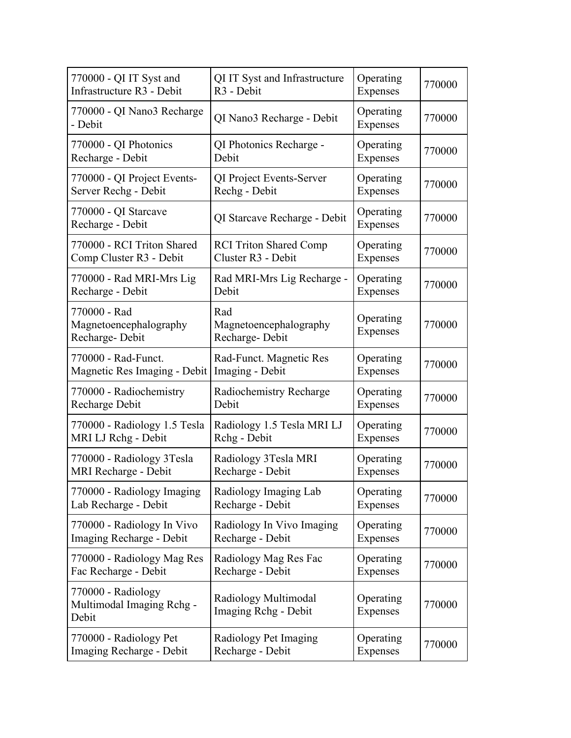| 770000 - QI IT Syst and                                  | QI IT Syst and Infrastructure                   | Operating             | 770000 |
|----------------------------------------------------------|-------------------------------------------------|-----------------------|--------|
| Infrastructure R3 - Debit                                | R <sub>3</sub> - Debit                          | Expenses              |        |
| 770000 - QI Nano3 Recharge<br>- Debit                    | QI Nano3 Recharge - Debit                       | Operating<br>Expenses | 770000 |
| 770000 - QI Photonics                                    | QI Photonics Recharge -                         | Operating             | 770000 |
| Recharge - Debit                                         | Debit                                           | Expenses              |        |
| 770000 - QI Project Events-                              | QI Project Events-Server                        | Operating             | 770000 |
| Server Rechg - Debit                                     | Rechg - Debit                                   | Expenses              |        |
| 770000 - QI Starcave<br>Recharge - Debit                 | QI Starcave Recharge - Debit                    | Operating<br>Expenses | 770000 |
| 770000 - RCI Triton Shared                               | <b>RCI Triton Shared Comp</b>                   | Operating             | 770000 |
| Comp Cluster R3 - Debit                                  | Cluster R3 - Debit                              | Expenses              |        |
| 770000 - Rad MRI-Mrs Lig                                 | Rad MRI-Mrs Lig Recharge -                      | Operating             | 770000 |
| Recharge - Debit                                         | Debit                                           | Expenses              |        |
| 770000 - Rad<br>Magnetoencephalography<br>Recharge-Debit | Rad<br>Magnetoencephalography<br>Recharge-Debit | Operating<br>Expenses | 770000 |
| 770000 - Rad-Funct.                                      | Rad-Funct. Magnetic Res                         | Operating             | 770000 |
| Magnetic Res Imaging - Debit                             | Imaging - Debit                                 | Expenses              |        |
| 770000 - Radiochemistry                                  | Radiochemistry Recharge                         | Operating             | 770000 |
| Recharge Debit                                           | Debit                                           | Expenses              |        |
| 770000 - Radiology 1.5 Tesla                             | Radiology 1.5 Tesla MRI LJ                      | Operating             | 770000 |
| MRI LJ Rchg - Debit                                      | Rchg - Debit                                    | Expenses              |        |
| 770000 - Radiology 3Tesla                                | Radiology 3Tesla MRI                            | Operating             | 770000 |
| MRI Recharge - Debit                                     | Recharge - Debit                                | Expenses              |        |
| 770000 - Radiology Imaging                               | Radiology Imaging Lab                           | Operating             | 770000 |
| Lab Recharge - Debit                                     | Recharge - Debit                                | Expenses              |        |
| 770000 - Radiology In Vivo                               | Radiology In Vivo Imaging                       | Operating             | 770000 |
| Imaging Recharge - Debit                                 | Recharge - Debit                                | Expenses              |        |
| 770000 - Radiology Mag Res                               | Radiology Mag Res Fac                           | Operating             | 770000 |
| Fac Recharge - Debit                                     | Recharge - Debit                                | Expenses              |        |
| 770000 - Radiology<br>Multimodal Imaging Rchg -<br>Debit | Radiology Multimodal<br>Imaging Rchg - Debit    | Operating<br>Expenses | 770000 |
| 770000 - Radiology Pet                                   | Radiology Pet Imaging                           | Operating             | 770000 |
| Imaging Recharge - Debit                                 | Recharge - Debit                                | Expenses              |        |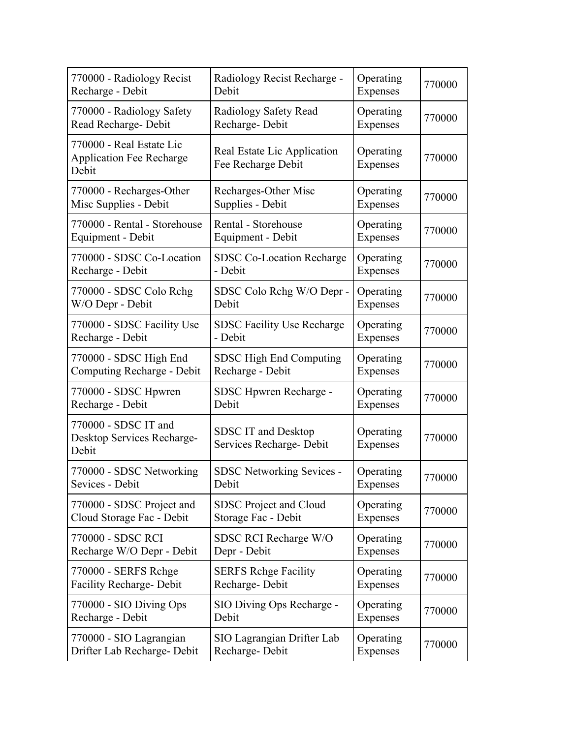| 770000 - Radiology Recist                                            | Radiology Recist Recharge -                            | Operating             | 770000 |
|----------------------------------------------------------------------|--------------------------------------------------------|-----------------------|--------|
| Recharge - Debit                                                     | Debit                                                  | Expenses              |        |
| 770000 - Radiology Safety                                            | Radiology Safety Read                                  | Operating             | 770000 |
| Read Recharge- Debit                                                 | Recharge-Debit                                         | Expenses              |        |
| 770000 - Real Estate Lic<br><b>Application Fee Recharge</b><br>Debit | Real Estate Lic Application<br>Fee Recharge Debit      | Operating<br>Expenses | 770000 |
| 770000 - Recharges-Other                                             | Recharges-Other Misc                                   | Operating             | 770000 |
| Misc Supplies - Debit                                                | Supplies - Debit                                       | Expenses              |        |
| 770000 - Rental - Storehouse                                         | Rental - Storehouse                                    | Operating             | 770000 |
| Equipment - Debit                                                    | Equipment - Debit                                      | Expenses              |        |
| 770000 - SDSC Co-Location                                            | <b>SDSC Co-Location Recharge</b>                       | Operating             | 770000 |
| Recharge - Debit                                                     | - Debit                                                | Expenses              |        |
| 770000 - SDSC Colo Rchg                                              | SDSC Colo Rchg W/O Depr -                              | Operating             | 770000 |
| W/O Depr - Debit                                                     | Debit                                                  | Expenses              |        |
| 770000 - SDSC Facility Use                                           | <b>SDSC Facility Use Recharge</b>                      | Operating             | 770000 |
| Recharge - Debit                                                     | - Debit                                                | Expenses              |        |
| 770000 - SDSC High End                                               | SDSC High End Computing                                | Operating             | 770000 |
| Computing Recharge - Debit                                           | Recharge - Debit                                       | Expenses              |        |
| 770000 - SDSC Hpwren                                                 | SDSC Hpwren Recharge -                                 | Operating             | 770000 |
| Recharge - Debit                                                     | Debit                                                  | Expenses              |        |
| 770000 - SDSC IT and<br>Desktop Services Recharge-<br>Debit          | <b>SDSC IT and Desktop</b><br>Services Recharge- Debit | Operating<br>Expenses | 770000 |
| 770000 - SDSC Networking                                             | <b>SDSC Networking Sevices -</b>                       | Operating             | 770000 |
| Sevices - Debit                                                      | Debit                                                  | Expenses              |        |
| 770000 - SDSC Project and                                            | SDSC Project and Cloud                                 | Operating             | 770000 |
| Cloud Storage Fac - Debit                                            | Storage Fac - Debit                                    | Expenses              |        |
| 770000 - SDSC RCI                                                    | SDSC RCI Recharge W/O                                  | Operating             | 770000 |
| Recharge W/O Depr - Debit                                            | Depr - Debit                                           | Expenses              |        |
| 770000 - SERFS Rchge                                                 | <b>SERFS Rehge Facility</b>                            | Operating             | 770000 |
| <b>Facility Recharge- Debit</b>                                      | Recharge-Debit                                         | Expenses              |        |
| 770000 - SIO Diving Ops                                              | SIO Diving Ops Recharge -                              | Operating             | 770000 |
| Recharge - Debit                                                     | Debit                                                  | Expenses              |        |
| 770000 - SIO Lagrangian                                              | SIO Lagrangian Drifter Lab                             | Operating             | 770000 |
| Drifter Lab Recharge- Debit                                          | Recharge-Debit                                         | Expenses              |        |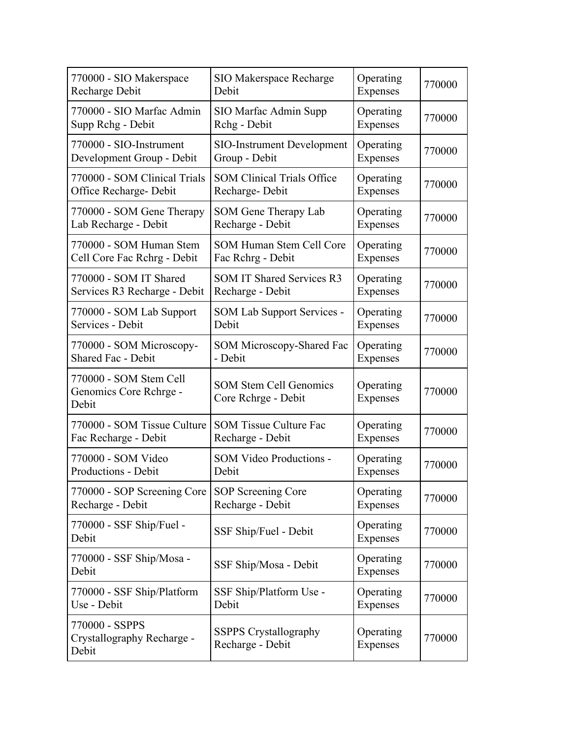| 770000 - SIO Makerspace                                   | <b>SIO Makerspace Recharge</b>                       | Operating             | 770000 |
|-----------------------------------------------------------|------------------------------------------------------|-----------------------|--------|
| Recharge Debit                                            | Debit                                                | Expenses              |        |
| 770000 - SIO Marfac Admin                                 | SIO Marfac Admin Supp                                | Operating             | 770000 |
| Supp Rchg - Debit                                         | Rchg - Debit                                         | Expenses              |        |
| 770000 - SIO-Instrument                                   | <b>SIO-Instrument Development</b>                    | Operating             | 770000 |
| Development Group - Debit                                 | Group - Debit                                        | Expenses              |        |
| 770000 - SOM Clinical Trials                              | <b>SOM Clinical Trials Office</b>                    | Operating             | 770000 |
| Office Recharge- Debit                                    | Recharge-Debit                                       | Expenses              |        |
| 770000 - SOM Gene Therapy                                 | SOM Gene Therapy Lab                                 | Operating             | 770000 |
| Lab Recharge - Debit                                      | Recharge - Debit                                     | Expenses              |        |
| 770000 - SOM Human Stem                                   | SOM Human Stem Cell Core                             | Operating             | 770000 |
| Cell Core Fac Rchrg - Debit                               | Fac Rehrg - Debit                                    | Expenses              |        |
| 770000 - SOM IT Shared                                    | <b>SOM IT Shared Services R3</b>                     | Operating             | 770000 |
| Services R3 Recharge - Debit                              | Recharge - Debit                                     | Expenses              |        |
| 770000 - SOM Lab Support                                  | <b>SOM Lab Support Services -</b>                    | Operating             | 770000 |
| Services - Debit                                          | Debit                                                | Expenses              |        |
| 770000 - SOM Microscopy-                                  | SOM Microscopy-Shared Fac                            | Operating             | 770000 |
| <b>Shared Fac - Debit</b>                                 | - Debit                                              | Expenses              |        |
| 770000 - SOM Stem Cell<br>Genomics Core Rchrge -<br>Debit | <b>SOM Stem Cell Genomics</b><br>Core Rchrge - Debit | Operating<br>Expenses | 770000 |
| 770000 - SOM Tissue Culture                               | <b>SOM Tissue Culture Fac</b>                        | Operating             | 770000 |
| Fac Recharge - Debit                                      | Recharge - Debit                                     | Expenses              |        |
| 770000 - SOM Video                                        | <b>SOM Video Productions -</b>                       | Operating             | 770000 |
| Productions - Debit                                       | Debit                                                | Expenses              |        |
| 770000 - SOP Screening Core                               | SOP Screening Core                                   | Operating             | 770000 |
| Recharge - Debit                                          | Recharge - Debit                                     | Expenses              |        |
| 770000 - SSF Ship/Fuel -<br>Debit                         | SSF Ship/Fuel - Debit                                | Operating<br>Expenses | 770000 |
| 770000 - SSF Ship/Mosa -<br>Debit                         | SSF Ship/Mosa - Debit                                | Operating<br>Expenses | 770000 |
| 770000 - SSF Ship/Platform                                | SSF Ship/Platform Use -                              | Operating             | 770000 |
| Use - Debit                                               | Debit                                                | Expenses              |        |
| 770000 - SSPPS<br>Crystallography Recharge -<br>Debit     | <b>SSPPS</b> Crystallography<br>Recharge - Debit     | Operating<br>Expenses | 770000 |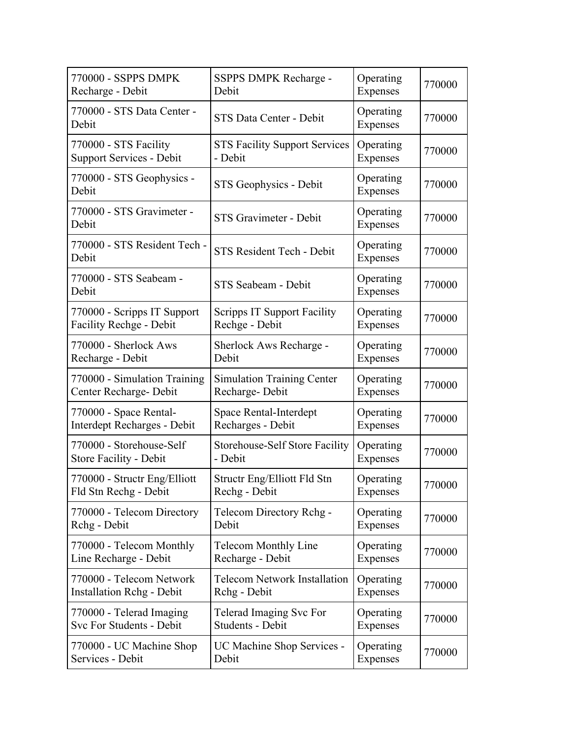| 770000 - SSPPS DMPK                   | SSPPS DMPK Recharge -                 | Operating             | 770000 |
|---------------------------------------|---------------------------------------|-----------------------|--------|
| Recharge - Debit                      | Debit                                 | Expenses              |        |
| 770000 - STS Data Center -<br>Debit   | STS Data Center - Debit               | Operating<br>Expenses | 770000 |
| 770000 - STS Facility                 | <b>STS Facility Support Services</b>  | Operating             | 770000 |
| <b>Support Services - Debit</b>       | - Debit                               | Expenses              |        |
| 770000 - STS Geophysics -<br>Debit    | STS Geophysics - Debit                | Operating<br>Expenses | 770000 |
| 770000 - STS Gravimeter -<br>Debit    | STS Gravimeter - Debit                | Operating<br>Expenses | 770000 |
| 770000 - STS Resident Tech -<br>Debit | STS Resident Tech - Debit             | Operating<br>Expenses | 770000 |
| 770000 - STS Seabeam -<br>Debit       | STS Seabeam - Debit                   | Operating<br>Expenses | 770000 |
| 770000 - Scripps IT Support           | <b>Scripps IT Support Facility</b>    | Operating             | 770000 |
| <b>Facility Rechge - Debit</b>        | Rechge - Debit                        | Expenses              |        |
| 770000 - Sherlock Aws                 | Sherlock Aws Recharge -               | Operating             | 770000 |
| Recharge - Debit                      | Debit                                 | Expenses              |        |
| 770000 - Simulation Training          | <b>Simulation Training Center</b>     | Operating             | 770000 |
| Center Recharge- Debit                | Recharge-Debit                        | Expenses              |        |
| 770000 - Space Rental-                | Space Rental-Interdept                | Operating             | 770000 |
| Interdept Recharges - Debit           | Recharges - Debit                     | Expenses              |        |
| 770000 - Storehouse-Self              | <b>Storehouse-Self Store Facility</b> | Operating             | 770000 |
| Store Facility - Debit                | - Debit                               | Expenses              |        |
| 770000 - Structr Eng/Elliott          | Structr Eng/Elliott Fld Stn           | Operating             | 770000 |
| Fld Stn Rechg - Debit                 | Rechg - Debit                         | Expenses              |        |
| 770000 - Telecom Directory            | Telecom Directory Rchg -              | Operating             | 770000 |
| Rchg - Debit                          | Debit                                 | Expenses              |        |
| 770000 - Telecom Monthly              | Telecom Monthly Line                  | Operating             | 770000 |
| Line Recharge - Debit                 | Recharge - Debit                      | Expenses              |        |
| 770000 - Telecom Network              | <b>Telecom Network Installation</b>   | Operating             | 770000 |
| <b>Installation Rchg - Debit</b>      | Rchg - Debit                          | Expenses              |        |
| 770000 - Telerad Imaging              | Telerad Imaging Svc For               | Operating             | 770000 |
| Svc For Students - Debit              | Students - Debit                      | Expenses              |        |
| 770000 - UC Machine Shop              | UC Machine Shop Services -            | Operating             | 770000 |
| Services - Debit                      | Debit                                 | Expenses              |        |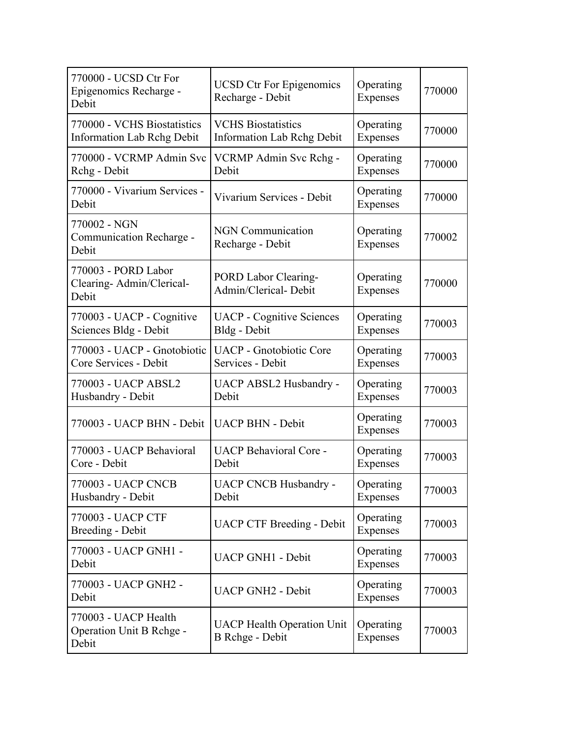| 770000 - UCSD Ctr For<br>Epigenomics Recharge -<br>Debit         | <b>UCSD Ctr For Epigenomics</b><br>Recharge - Debit            | Operating<br>Expenses | 770000 |
|------------------------------------------------------------------|----------------------------------------------------------------|-----------------------|--------|
| 770000 - VCHS Biostatistics<br><b>Information Lab Rchg Debit</b> | <b>VCHS Biostatistics</b><br><b>Information Lab Rchg Debit</b> | Operating<br>Expenses | 770000 |
| 770000 - VCRMP Admin Svc<br>Rchg - Debit                         | VCRMP Admin Svc Rchg -<br>Debit                                | Operating<br>Expenses | 770000 |
| 770000 - Vivarium Services -<br>Debit                            | Vivarium Services - Debit                                      | Operating<br>Expenses | 770000 |
| 770002 - NGN<br>Communication Recharge -<br>Debit                | <b>NGN</b> Communication<br>Recharge - Debit                   | Operating<br>Expenses | 770002 |
| 770003 - PORD Labor<br>Clearing-Admin/Clerical-<br>Debit         | PORD Labor Clearing-<br>Admin/Clerical-Debit                   | Operating<br>Expenses | 770000 |
| 770003 - UACP - Cognitive<br>Sciences Bldg - Debit               | <b>UACP</b> - Cognitive Sciences<br>Bldg - Debit               | Operating<br>Expenses | 770003 |
| 770003 - UACP - Gnotobiotic<br>Core Services - Debit             | <b>UACP</b> - Gnotobiotic Core<br>Services - Debit             | Operating<br>Expenses | 770003 |
| 770003 - UACP ABSL2<br>Husbandry - Debit                         | <b>UACP ABSL2 Husbandry -</b><br>Debit                         | Operating<br>Expenses | 770003 |
| 770003 - UACP BHN - Debit                                        | <b>UACP BHN - Debit</b>                                        | Operating<br>Expenses | 770003 |
| 770003 - UACP Behavioral<br>Core - Debit                         | <b>UACP Behavioral Core -</b><br>Debit                         | Operating<br>Expenses | 770003 |
| 770003 - UACP CNCB<br>Husbandry - Debit                          | <b>UACP CNCB Husbandry</b><br>Debit                            | Operating<br>Expenses | 770003 |
| 770003 - UACP CTF<br><b>Breeding - Debit</b>                     | <b>UACP CTF Breeding - Debit</b>                               | Operating<br>Expenses | 770003 |
| 770003 - UACP GNH1 -<br>Debit                                    | <b>UACP GNH1 - Debit</b>                                       | Operating<br>Expenses | 770003 |
| 770003 - UACP GNH2 -<br>Debit                                    | <b>UACP GNH2 - Debit</b>                                       | Operating<br>Expenses | 770003 |
| 770003 - UACP Health<br>Operation Unit B Rchge -<br>Debit        | <b>UACP Health Operation Unit</b><br><b>B</b> Rchge - Debit    | Operating<br>Expenses | 770003 |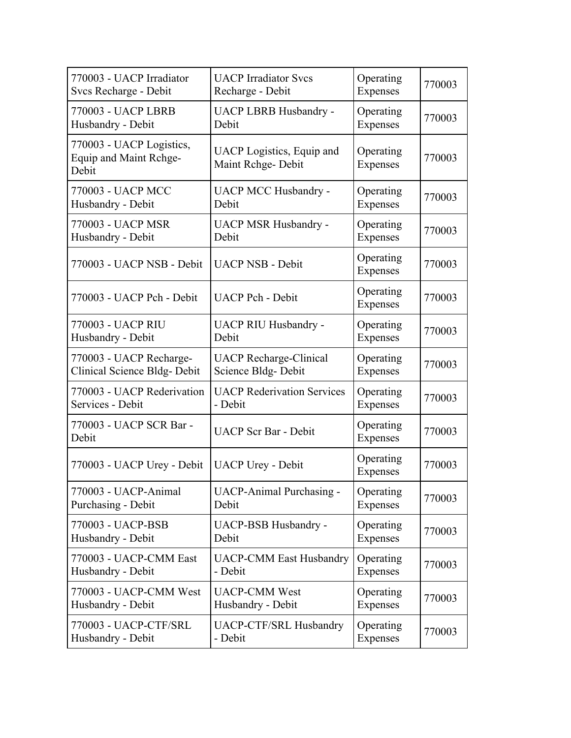| 770003 - UACP Irradiator                                    | <b>UACP</b> Irradiator Svcs                    | Operating             | 770003 |
|-------------------------------------------------------------|------------------------------------------------|-----------------------|--------|
| Svcs Recharge - Debit                                       | Recharge - Debit                               | Expenses              |        |
| 770003 - UACP LBRB                                          | <b>UACP LBRB Husbandry -</b>                   | Operating             | 770003 |
| Husbandry - Debit                                           | Debit                                          | Expenses              |        |
| 770003 - UACP Logistics,<br>Equip and Maint Rchge-<br>Debit | UACP Logistics, Equip and<br>Maint Rchge-Debit | Operating<br>Expenses | 770003 |
| 770003 - UACP MCC                                           | <b>UACP MCC Husbandry -</b>                    | Operating             | 770003 |
| Husbandry - Debit                                           | Debit                                          | Expenses              |        |
| 770003 - UACP MSR                                           | <b>UACP MSR Husbandry -</b>                    | Operating             | 770003 |
| Husbandry - Debit                                           | Debit                                          | Expenses              |        |
| 770003 - UACP NSB - Debit                                   | <b>UACP NSB - Debit</b>                        | Operating<br>Expenses | 770003 |
| 770003 - UACP Pch - Debit                                   | <b>UACP Pch - Debit</b>                        | Operating<br>Expenses | 770003 |
| 770003 - UACP RIU                                           | <b>UACP RIU Husbandry -</b>                    | Operating             | 770003 |
| Husbandry - Debit                                           | Debit                                          | Expenses              |        |
| 770003 - UACP Recharge-                                     | <b>UACP Recharge-Clinical</b>                  | Operating             | 770003 |
| Clinical Science Bldg- Debit                                | Science Bldg-Debit                             | Expenses              |        |
| 770003 - UACP Rederivation                                  | <b>UACP Rederivation Services</b>              | Operating             | 770003 |
| Services - Debit                                            | - Debit                                        | Expenses              |        |
| 770003 - UACP SCR Bar -<br>Debit                            | <b>UACP</b> Scr Bar - Debit                    | Operating<br>Expenses | 770003 |
| 770003 - UACP Urey - Debit                                  | <b>UACP Urey - Debit</b>                       | Operating<br>Expenses | 770003 |
| 770003 - UACP-Animal                                        | <b>UACP-Animal Purchasing -</b>                | Operating             | 770003 |
| Purchasing - Debit                                          | Debit                                          | Expenses              |        |
| 770003 - UACP-BSB                                           | UACP-BSB Husbandry -                           | Operating             | 770003 |
| Husbandry - Debit                                           | Debit                                          | Expenses              |        |
| 770003 - UACP-CMM East                                      | <b>UACP-CMM East Husbandry</b>                 | Operating             | 770003 |
| Husbandry - Debit                                           | - Debit                                        | Expenses              |        |
| 770003 - UACP-CMM West                                      | <b>UACP-CMM West</b>                           | Operating             | 770003 |
| Husbandry - Debit                                           | Husbandry - Debit                              | Expenses              |        |
| 770003 - UACP-CTF/SRL                                       | <b>UACP-CTF/SRL Husbandry</b>                  | Operating             | 770003 |
| Husbandry - Debit                                           | - Debit                                        | <b>Expenses</b>       |        |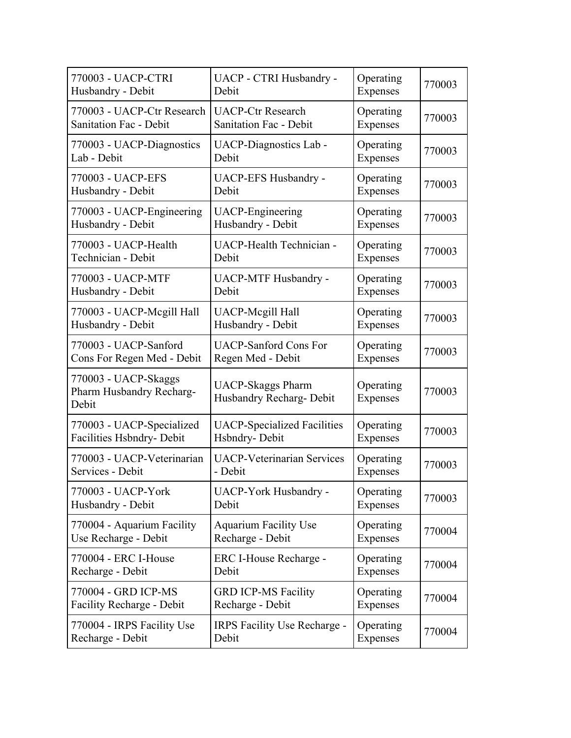| 770003 - UACP-CTRI                                        | UACP - CTRI Husbandry -                              | Operating             | 770003 |
|-----------------------------------------------------------|------------------------------------------------------|-----------------------|--------|
| Husbandry - Debit                                         | Debit                                                | Expenses              |        |
| 770003 - UACP-Ctr Research                                | <b>UACP-Ctr Research</b>                             | Operating             | 770003 |
| <b>Sanitation Fac - Debit</b>                             | <b>Sanitation Fac - Debit</b>                        | Expenses              |        |
| 770003 - UACP-Diagnostics                                 | UACP-Diagnostics Lab -                               | Operating             | 770003 |
| Lab - Debit                                               | Debit                                                | Expenses              |        |
| 770003 - UACP-EFS                                         | <b>UACP-EFS Husbandry -</b>                          | Operating             | 770003 |
| Husbandry - Debit                                         | Debit                                                | Expenses              |        |
| 770003 - UACP-Engineering                                 | <b>UACP-Engineering</b>                              | Operating             | 770003 |
| Husbandry - Debit                                         | Husbandry - Debit                                    | Expenses              |        |
| 770003 - UACP-Health                                      | <b>UACP-Health Technician -</b>                      | Operating             | 770003 |
| Technician - Debit                                        | Debit                                                | Expenses              |        |
| 770003 - UACP-MTF                                         | <b>UACP-MTF Husbandry -</b>                          | Operating             | 770003 |
| Husbandry - Debit                                         | Debit                                                | Expenses              |        |
| 770003 - UACP-Mcgill Hall                                 | <b>UACP-Megill Hall</b>                              | Operating             | 770003 |
| Husbandry - Debit                                         | Husbandry - Debit                                    | Expenses              |        |
| 770003 - UACP-Sanford                                     | <b>UACP-Sanford Cons For</b>                         | Operating             | 770003 |
| Cons For Regen Med - Debit                                | Regen Med - Debit                                    | Expenses              |        |
| 770003 - UACP-Skaggs<br>Pharm Husbandry Recharg-<br>Debit | <b>UACP-Skaggs Pharm</b><br>Husbandry Recharg- Debit | Operating<br>Expenses | 770003 |
| 770003 - UACP-Specialized                                 | <b>UACP-Specialized Facilities</b>                   | Operating             | 770003 |
| Facilities Hsbndry- Debit                                 | Hsbndry-Debit                                        | Expenses              |        |
| 770003 - UACP-Veterinarian                                | <b>UACP-Veterinarian Services</b>                    | Operating             | 770003 |
| Services - Debit                                          | - Debit                                              | Expenses              |        |
| 770003 - UACP-York                                        | <b>UACP-York Husbandry -</b>                         | Operating             | 770003 |
| Husbandry - Debit                                         | Debit                                                | Expenses              |        |
| 770004 - Aquarium Facility                                | <b>Aquarium Facility Use</b>                         | Operating             | 770004 |
| Use Recharge - Debit                                      | Recharge - Debit                                     | Expenses              |        |
| 770004 - ERC I-House                                      | ERC I-House Recharge -                               | Operating             | 770004 |
| Recharge - Debit                                          | Debit                                                | Expenses              |        |
| 770004 - GRD ICP-MS                                       | <b>GRD ICP-MS Facility</b>                           | Operating             | 770004 |
| Facility Recharge - Debit                                 | Recharge - Debit                                     | Expenses              |        |
| 770004 - IRPS Facility Use                                | IRPS Facility Use Recharge -                         | Operating             | 770004 |
| Recharge - Debit                                          | Debit                                                | Expenses              |        |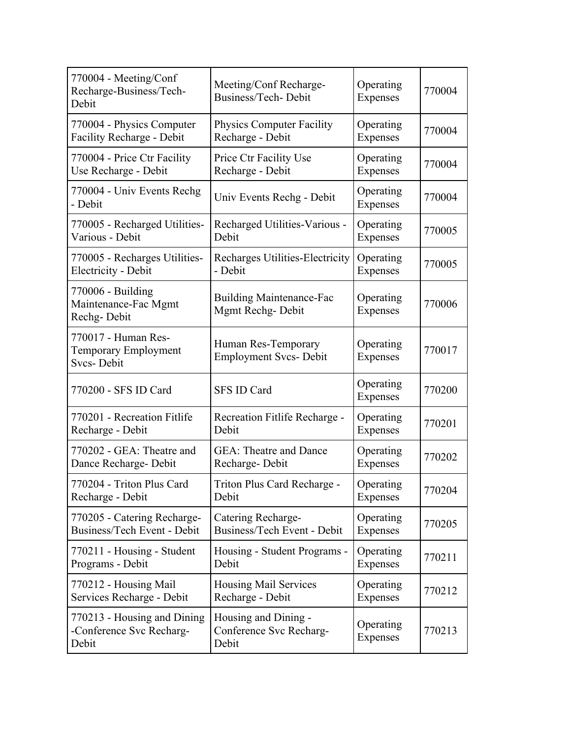| 770004 - Meeting/Conf<br>Recharge-Business/Tech-<br>Debit               | Meeting/Conf Recharge-<br>Business/Tech-Debit            | Operating<br>Expenses | 770004 |
|-------------------------------------------------------------------------|----------------------------------------------------------|-----------------------|--------|
| 770004 - Physics Computer                                               | <b>Physics Computer Facility</b>                         | Operating             | 770004 |
| Facility Recharge - Debit                                               | Recharge - Debit                                         | Expenses              |        |
| 770004 - Price Ctr Facility                                             | Price Ctr Facility Use                                   | Operating             | 770004 |
| Use Recharge - Debit                                                    | Recharge - Debit                                         | Expenses              |        |
| 770004 - Univ Events Rechg<br>- Debit                                   | Univ Events Rechg - Debit                                | Operating<br>Expenses | 770004 |
| 770005 - Recharged Utilities-                                           | Recharged Utilities-Various -                            | Operating             | 770005 |
| Various - Debit                                                         | Debit                                                    | Expenses              |        |
| 770005 - Recharges Utilities-                                           | Recharges Utilities-Electricity                          | Operating             | 770005 |
| Electricity - Debit                                                     | - Debit                                                  | Expenses              |        |
| 770006 - Building<br>Maintenance-Fac Mgmt<br>Rechg-Debit                | <b>Building Maintenance-Fac</b><br>Mgmt Rechg-Debit      | Operating<br>Expenses | 770006 |
| 770017 - Human Res-<br><b>Temporary Employment</b><br><b>Svcs-Debit</b> | Human Res-Temporary<br><b>Employment Svcs- Debit</b>     | Operating<br>Expenses | 770017 |
| 770200 - SFS ID Card                                                    | <b>SFS ID Card</b>                                       | Operating<br>Expenses | 770200 |
| 770201 - Recreation Fitlife                                             | Recreation Fitlife Recharge -                            | Operating             | 770201 |
| Recharge - Debit                                                        | Debit                                                    | Expenses              |        |
| 770202 - GEA: Theatre and                                               | <b>GEA: Theatre and Dance</b>                            | Operating             | 770202 |
| Dance Recharge- Debit                                                   | Recharge-Debit                                           | Expenses              |        |
| 770204 - Triton Plus Card                                               | Triton Plus Card Recharge -                              | Operating             | 770204 |
| Recharge - Debit                                                        | Debit                                                    | Expenses              |        |
| 770205 - Catering Recharge-                                             | Catering Recharge-                                       | Operating             | 770205 |
| Business/Tech Event - Debit                                             | Business/Tech Event - Debit                              | Expenses              |        |
| 770211 - Housing - Student                                              | Housing - Student Programs -                             | Operating             | 770211 |
| Programs - Debit                                                        | Debit                                                    | Expenses              |        |
| 770212 - Housing Mail                                                   | Housing Mail Services                                    | Operating             | 770212 |
| Services Recharge - Debit                                               | Recharge - Debit                                         | Expenses              |        |
| 770213 - Housing and Dining<br>-Conference Svc Recharg-<br>Debit        | Housing and Dining -<br>Conference Svc Recharg-<br>Debit | Operating<br>Expenses | 770213 |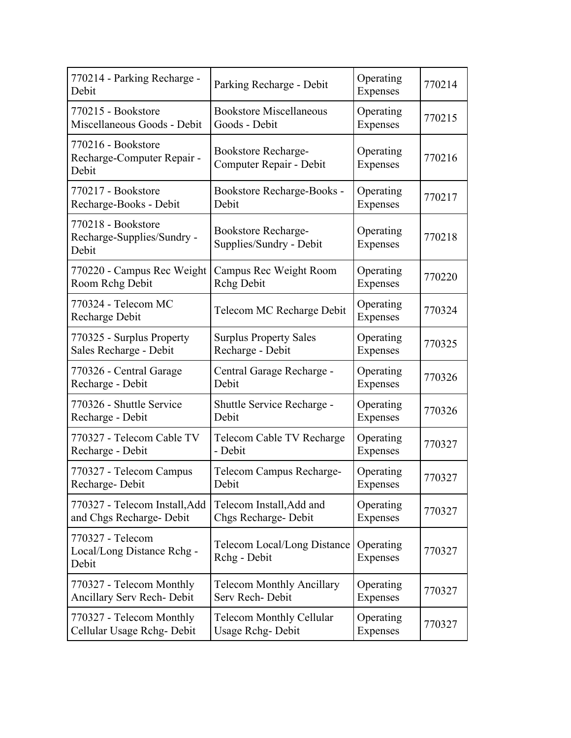| 770214 - Parking Recharge -<br>Debit                      | Parking Recharge - Debit                       | Operating<br>Expenses | 770214 |
|-----------------------------------------------------------|------------------------------------------------|-----------------------|--------|
| 770215 - Bookstore                                        | <b>Bookstore Miscellaneous</b>                 | Operating             | 770215 |
| Miscellaneous Goods - Debit                               | Goods - Debit                                  | Expenses              |        |
| 770216 - Bookstore<br>Recharge-Computer Repair -<br>Debit | Bookstore Recharge-<br>Computer Repair - Debit | Operating<br>Expenses | 770216 |
| 770217 - Bookstore                                        | Bookstore Recharge-Books -                     | Operating             | 770217 |
| Recharge-Books - Debit                                    | Debit                                          | Expenses              |        |
| 770218 - Bookstore<br>Recharge-Supplies/Sundry -<br>Debit | Bookstore Recharge-<br>Supplies/Sundry - Debit | Operating<br>Expenses | 770218 |
| 770220 - Campus Rec Weight                                | Campus Rec Weight Room                         | Operating             | 770220 |
| Room Rchg Debit                                           | <b>Rchg Debit</b>                              | Expenses              |        |
| 770324 - Telecom MC<br>Recharge Debit                     | Telecom MC Recharge Debit                      | Operating<br>Expenses | 770324 |
| 770325 - Surplus Property                                 | <b>Surplus Property Sales</b>                  | Operating             | 770325 |
| Sales Recharge - Debit                                    | Recharge - Debit                               | Expenses              |        |
| 770326 - Central Garage                                   | Central Garage Recharge -                      | Operating             | 770326 |
| Recharge - Debit                                          | Debit                                          | Expenses              |        |
| 770326 - Shuttle Service                                  | Shuttle Service Recharge -                     | Operating             | 770326 |
| Recharge - Debit                                          | Debit                                          | Expenses              |        |
| 770327 - Telecom Cable TV                                 | Telecom Cable TV Recharge                      | Operating             | 770327 |
| Recharge - Debit                                          | - Debit                                        | Expenses              |        |
| 770327 - Telecom Campus                                   | Telecom Campus Recharge-                       | Operating             | 770327 |
| Recharge-Debit                                            | Debit                                          | Expenses              |        |
| 770327 - Telecom Install, Add                             | Telecom Install, Add and                       | Operating             | 770327 |
| and Chgs Recharge- Debit                                  | Chgs Recharge-Debit                            | Expenses              |        |
| 770327 - Telecom<br>Local/Long Distance Rchg -<br>Debit   | Telecom Local/Long Distance<br>Rchg - Debit    | Operating<br>Expenses | 770327 |
| 770327 - Telecom Monthly                                  | <b>Telecom Monthly Ancillary</b>               | Operating             | 770327 |
| Ancillary Serv Rech- Debit                                | Serv Rech-Debit                                | Expenses              |        |
| 770327 - Telecom Monthly                                  | <b>Telecom Monthly Cellular</b>                | Operating             | 770327 |
| Cellular Usage Rchg-Debit                                 | Usage Rchg-Debit                               | Expenses              |        |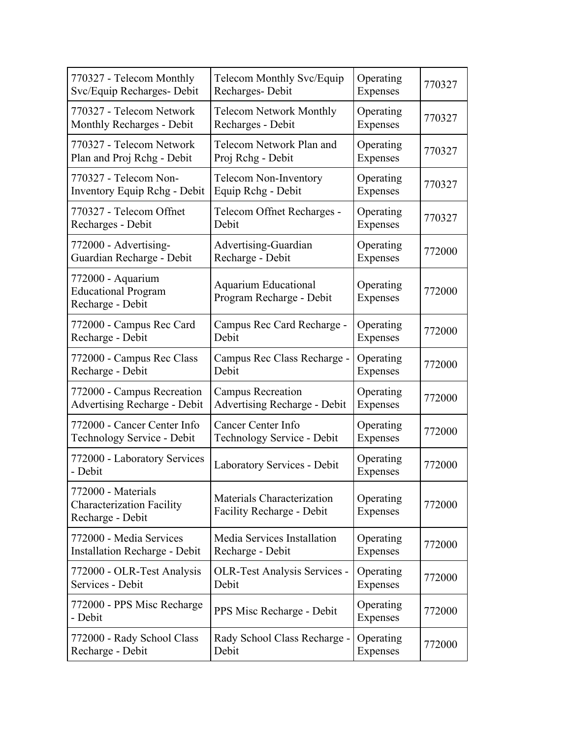| 770327 - Telecom Monthly                                                   | Telecom Monthly Svc/Equip                               | Operating             | 770327 |
|----------------------------------------------------------------------------|---------------------------------------------------------|-----------------------|--------|
| Svc/Equip Recharges- Debit                                                 | Recharges-Debit                                         | Expenses              |        |
| 770327 - Telecom Network                                                   | <b>Telecom Network Monthly</b>                          | Operating             | 770327 |
| Monthly Recharges - Debit                                                  | Recharges - Debit                                       | Expenses              |        |
| 770327 - Telecom Network                                                   | Telecom Network Plan and                                | Operating             | 770327 |
| Plan and Proj Rchg - Debit                                                 | Proj Rchg - Debit                                       | Expenses              |        |
| 770327 - Telecom Non-                                                      | <b>Telecom Non-Inventory</b>                            | Operating             | 770327 |
| <b>Inventory Equip Rchg - Debit</b>                                        | Equip Rchg - Debit                                      | Expenses              |        |
| 770327 - Telecom Offnet                                                    | Telecom Offnet Recharges -                              | Operating             | 770327 |
| Recharges - Debit                                                          | Debit                                                   | Expenses              |        |
| 772000 - Advertising-                                                      | Advertising-Guardian                                    | Operating             | 772000 |
| Guardian Recharge - Debit                                                  | Recharge - Debit                                        | Expenses              |        |
| 772000 - Aquarium<br><b>Educational Program</b><br>Recharge - Debit        | Aquarium Educational<br>Program Recharge - Debit        | Operating<br>Expenses | 772000 |
| 772000 - Campus Rec Card                                                   | Campus Rec Card Recharge -                              | Operating             | 772000 |
| Recharge - Debit                                                           | Debit                                                   | Expenses              |        |
| 772000 - Campus Rec Class                                                  | Campus Rec Class Recharge -                             | Operating             | 772000 |
| Recharge - Debit                                                           | Debit                                                   | Expenses              |        |
| 772000 - Campus Recreation                                                 | <b>Campus Recreation</b>                                | Operating             | 772000 |
| <b>Advertising Recharge - Debit</b>                                        | <b>Advertising Recharge - Debit</b>                     | Expenses              |        |
| 772000 - Cancer Center Info                                                | Cancer Center Info                                      | Operating             | 772000 |
| Technology Service - Debit                                                 | Technology Service - Debit                              | Expenses              |        |
| 772000 - Laboratory Services<br>- Debit                                    | Laboratory Services - Debit                             | Operating<br>Expenses | 772000 |
| 772000 - Materials<br><b>Characterization Facility</b><br>Recharge - Debit | Materials Characterization<br>Facility Recharge - Debit | Operating<br>Expenses | 772000 |
| 772000 - Media Services                                                    | Media Services Installation                             | Operating             | 772000 |
| <b>Installation Recharge - Debit</b>                                       | Recharge - Debit                                        | Expenses              |        |
| 772000 - OLR-Test Analysis                                                 | <b>OLR-Test Analysis Services -</b>                     | Operating             | 772000 |
| Services - Debit                                                           | Debit                                                   | Expenses              |        |
| 772000 - PPS Misc Recharge<br>- Debit                                      | PPS Misc Recharge - Debit                               | Operating<br>Expenses | 772000 |
| 772000 - Rady School Class                                                 | Rady School Class Recharge -                            | Operating             | 772000 |
| Recharge - Debit                                                           | Debit                                                   | Expenses              |        |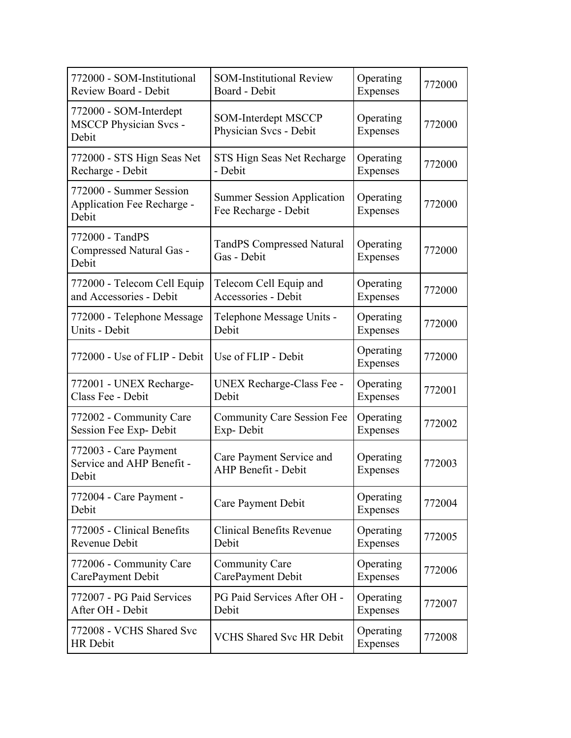| 772000 - SOM-Institutional                                       | <b>SOM-Institutional Review</b>                           | Operating             | 772000 |
|------------------------------------------------------------------|-----------------------------------------------------------|-----------------------|--------|
| <b>Review Board - Debit</b>                                      | Board - Debit                                             | Expenses              |        |
| 772000 - SOM-Interdept<br><b>MSCCP Physician Svcs -</b><br>Debit | <b>SOM-Interdept MSCCP</b><br>Physician Svcs - Debit      | Operating<br>Expenses | 772000 |
| 772000 - STS Hign Seas Net                                       | STS Hign Seas Net Recharge                                | Operating             | 772000 |
| Recharge - Debit                                                 | - Debit                                                   | Expenses              |        |
| 772000 - Summer Session<br>Application Fee Recharge -<br>Debit   | <b>Summer Session Application</b><br>Fee Recharge - Debit | Operating<br>Expenses | 772000 |
| 772000 - TandPS<br>Compressed Natural Gas -<br>Debit             | <b>TandPS Compressed Natural</b><br>Gas - Debit           | Operating<br>Expenses | 772000 |
| 772000 - Telecom Cell Equip                                      | Telecom Cell Equip and                                    | Operating             | 772000 |
| and Accessories - Debit                                          | Accessories - Debit                                       | Expenses              |        |
| 772000 - Telephone Message                                       | Telephone Message Units -                                 | Operating             | 772000 |
| Units - Debit                                                    | Debit                                                     | Expenses              |        |
| 772000 - Use of FLIP - Debit                                     | Use of FLIP - Debit                                       | Operating<br>Expenses | 772000 |
| 772001 - UNEX Recharge-                                          | <b>UNEX Recharge-Class Fee -</b>                          | Operating             | 772001 |
| Class Fee - Debit                                                | Debit                                                     | Expenses              |        |
| 772002 - Community Care                                          | <b>Community Care Session Fee</b>                         | Operating             | 772002 |
| Session Fee Exp- Debit                                           | Exp-Debit                                                 | Expenses              |        |
| 772003 - Care Payment<br>Service and AHP Benefit -<br>Debit      | Care Payment Service and<br><b>AHP Benefit - Debit</b>    | Operating<br>Expenses | 772003 |
| 772004 - Care Payment -<br>Debit                                 | Care Payment Debit                                        | Operating<br>Expenses | 772004 |
| 772005 - Clinical Benefits                                       | <b>Clinical Benefits Revenue</b>                          | Operating             | 772005 |
| Revenue Debit                                                    | Debit                                                     | Expenses              |        |
| 772006 - Community Care                                          | Community Care                                            | Operating             | 772006 |
| CarePayment Debit                                                | CarePayment Debit                                         | Expenses              |        |
| 772007 - PG Paid Services                                        | PG Paid Services After OH -                               | Operating             | 772007 |
| After OH - Debit                                                 | Debit                                                     | Expenses              |        |
| 772008 - VCHS Shared Svc<br><b>HR</b> Debit                      | <b>VCHS Shared Svc HR Debit</b>                           | Operating<br>Expenses | 772008 |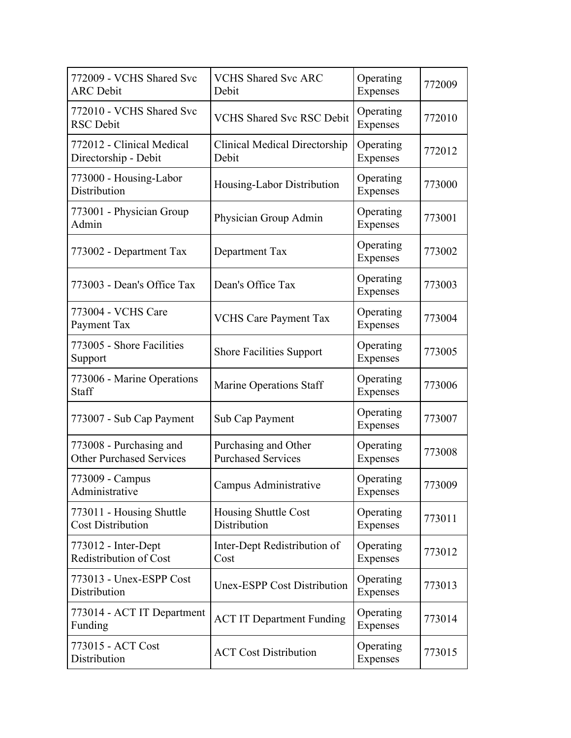| 772009 - VCHS Shared Svc<br><b>ARC</b> Debit               | <b>VCHS Shared Svc ARC</b><br>Debit               | Operating<br>Expenses        | 772009 |
|------------------------------------------------------------|---------------------------------------------------|------------------------------|--------|
| 772010 - VCHS Shared Svc<br><b>RSC</b> Debit               | <b>VCHS Shared Svc RSC Debit</b>                  | Operating<br>Expenses        | 772010 |
| 772012 - Clinical Medical<br>Directorship - Debit          | Clinical Medical Directorship<br>Debit            | Operating<br>Expenses        | 772012 |
| 773000 - Housing-Labor<br>Distribution                     | Housing-Labor Distribution                        | Operating<br>Expenses        | 773000 |
| 773001 - Physician Group<br>Admin                          | Physician Group Admin                             | Operating<br>Expenses        | 773001 |
| 773002 - Department Tax                                    | Department Tax                                    | Operating<br><b>Expenses</b> | 773002 |
| 773003 - Dean's Office Tax                                 | Dean's Office Tax                                 | Operating<br>Expenses        | 773003 |
| 773004 - VCHS Care<br>Payment Tax                          | <b>VCHS Care Payment Tax</b>                      | Operating<br>Expenses        | 773004 |
| 773005 - Shore Facilities<br>Support                       | <b>Shore Facilities Support</b>                   | Operating<br>Expenses        | 773005 |
| 773006 - Marine Operations<br>Staff                        | Marine Operations Staff                           | Operating<br>Expenses        | 773006 |
| 773007 - Sub Cap Payment                                   | Sub Cap Payment                                   | Operating<br>Expenses        | 773007 |
| 773008 - Purchasing and<br><b>Other Purchased Services</b> | Purchasing and Other<br><b>Purchased Services</b> | Operating<br>Expenses        | 773008 |
| 773009 - Campus<br>Administrative                          | Campus Administrative                             | Operating<br>Expenses        | 773009 |
| 773011 - Housing Shuttle<br><b>Cost Distribution</b>       | Housing Shuttle Cost<br>Distribution              | Operating<br>Expenses        | 773011 |
| 773012 - Inter-Dept<br>Redistribution of Cost              | Inter-Dept Redistribution of<br>Cost              | Operating<br>Expenses        | 773012 |
| 773013 - Unex-ESPP Cost<br>Distribution                    | <b>Unex-ESPP Cost Distribution</b>                | Operating<br>Expenses        | 773013 |
| 773014 - ACT IT Department<br>Funding                      | <b>ACT IT Department Funding</b>                  | Operating<br>Expenses        | 773014 |
| 773015 - ACT Cost<br>Distribution                          | <b>ACT Cost Distribution</b>                      | Operating<br>Expenses        | 773015 |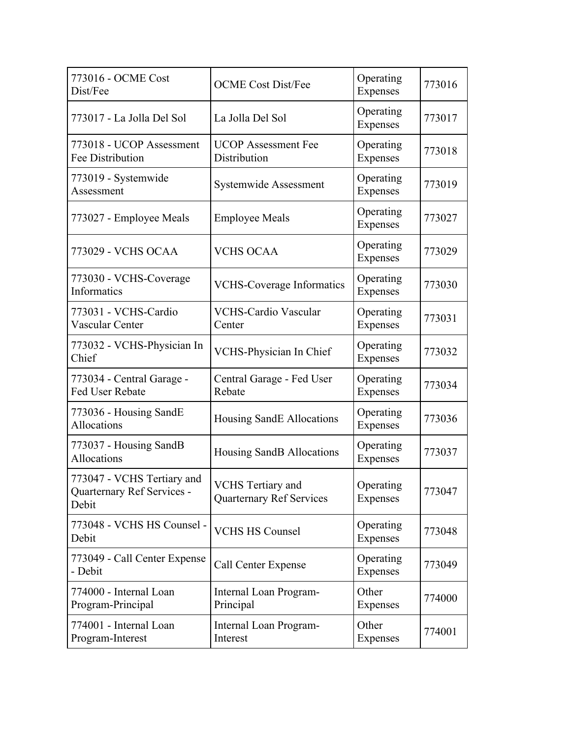| 773016 - OCME Cost<br>Dist/Fee                                    | <b>OCME</b> Cost Dist/Fee                            | Operating<br>Expenses        | 773016 |
|-------------------------------------------------------------------|------------------------------------------------------|------------------------------|--------|
| 773017 - La Jolla Del Sol                                         | La Jolla Del Sol                                     | Operating<br>Expenses        | 773017 |
| 773018 - UCOP Assessment<br>Fee Distribution                      | <b>UCOP</b> Assessment Fee<br>Distribution           | Operating<br>Expenses        | 773018 |
| 773019 - Systemwide<br>Assessment                                 | Systemwide Assessment                                | Operating<br>Expenses        | 773019 |
| 773027 - Employee Meals                                           | <b>Employee Meals</b>                                | Operating<br>Expenses        | 773027 |
| 773029 - VCHS OCAA                                                | <b>VCHS OCAA</b>                                     | Operating<br>Expenses        | 773029 |
| 773030 - VCHS-Coverage<br>Informatics                             | <b>VCHS-Coverage Informatics</b>                     | Operating<br>Expenses        | 773030 |
| 773031 - VCHS-Cardio<br>Vascular Center                           | <b>VCHS-Cardio Vascular</b><br>Center                | Operating<br>Expenses        | 773031 |
| 773032 - VCHS-Physician In<br>Chief                               | VCHS-Physician In Chief                              | Operating<br>Expenses        | 773032 |
| 773034 - Central Garage -<br>Fed User Rebate                      | Central Garage - Fed User<br>Rebate                  | Operating<br>Expenses        | 773034 |
| 773036 - Housing SandE<br>Allocations                             | Housing SandE Allocations                            | Operating<br>Expenses        | 773036 |
| 773037 - Housing SandB<br>Allocations                             | Housing SandB Allocations                            | Operating<br>Expenses        | 773037 |
| 773047 - VCHS Tertiary and<br>Quarternary Ref Services -<br>Debit | VCHS Tertiary and<br><b>Quarternary Ref Services</b> | Operating<br>Expenses        | 773047 |
| 773048 - VCHS HS Counsel -<br>Debit                               | <b>VCHS HS Counsel</b>                               | Operating<br><b>Expenses</b> | 773048 |
| 773049 - Call Center Expense<br>- Debit                           | Call Center Expense                                  | Operating<br>Expenses        | 773049 |
| 774000 - Internal Loan<br>Program-Principal                       | Internal Loan Program-<br>Principal                  | Other<br>Expenses            | 774000 |
| 774001 - Internal Loan<br>Program-Interest                        | Internal Loan Program-<br>Interest                   | Other<br>Expenses            | 774001 |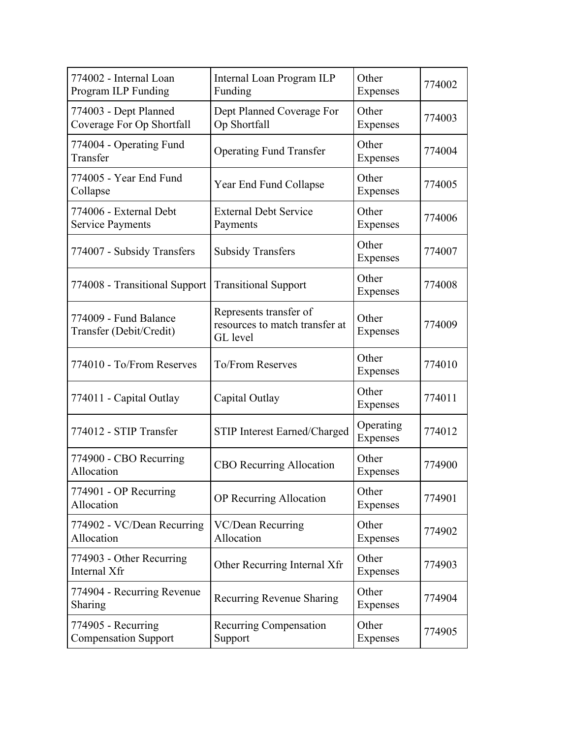| 774002 - Internal Loan<br>Program ILP Funding      | Internal Loan Program ILP<br>Funding                                 | Other<br>Expenses            | 774002 |
|----------------------------------------------------|----------------------------------------------------------------------|------------------------------|--------|
| 774003 - Dept Planned<br>Coverage For Op Shortfall | Dept Planned Coverage For<br>Op Shortfall                            | Other<br>Expenses            | 774003 |
| 774004 - Operating Fund<br>Transfer                | <b>Operating Fund Transfer</b>                                       | Other<br>Expenses            | 774004 |
| 774005 - Year End Fund<br>Collapse                 | Year End Fund Collapse                                               | Other<br>Expenses            | 774005 |
| 774006 - External Debt<br><b>Service Payments</b>  | <b>External Debt Service</b><br>Payments                             | Other<br>Expenses            | 774006 |
| 774007 - Subsidy Transfers                         | <b>Subsidy Transfers</b>                                             | Other<br>Expenses            | 774007 |
| 774008 - Transitional Support                      | <b>Transitional Support</b>                                          | Other<br>Expenses            | 774008 |
| 774009 - Fund Balance<br>Transfer (Debit/Credit)   | Represents transfer of<br>resources to match transfer at<br>GL level | Other<br>Expenses            | 774009 |
| 774010 - To/From Reserves                          | <b>To/From Reserves</b>                                              | Other<br>Expenses            | 774010 |
| 774011 - Capital Outlay                            | Capital Outlay                                                       | Other<br>Expenses            | 774011 |
| 774012 - STIP Transfer                             | <b>STIP Interest Earned/Charged</b>                                  | Operating<br><b>Expenses</b> | 774012 |
| 774900 - CBO Recurring<br>Allocation               | <b>CBO</b> Recurring Allocation                                      | Other<br>Expenses            | 774900 |
| 774901 - OP Recurring<br>Allocation                | OP Recurring Allocation                                              | Other<br>Expenses            | 774901 |
| 774902 - VC/Dean Recurring<br>Allocation           | VC/Dean Recurring<br>Allocation                                      | Other<br>Expenses            | 774902 |
| 774903 - Other Recurring<br>Internal Xfr           | Other Recurring Internal Xfr                                         | Other<br>Expenses            | 774903 |
| 774904 - Recurring Revenue<br>Sharing              | Recurring Revenue Sharing                                            | Other<br>Expenses            | 774904 |
| 774905 - Recurring<br><b>Compensation Support</b>  | Recurring Compensation<br>Support                                    | Other<br>Expenses            | 774905 |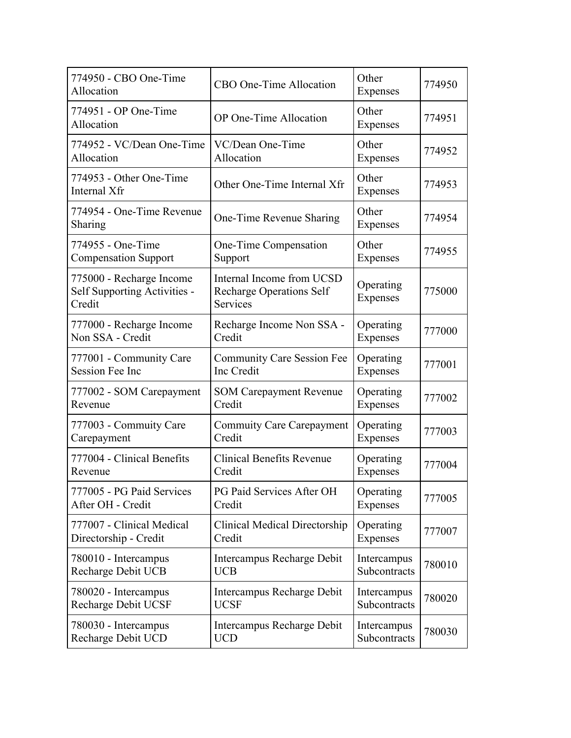| 774950 - CBO One-Time<br>Allocation                                | CBO One-Time Allocation                                                  | Other<br>Expenses     | 774950 |
|--------------------------------------------------------------------|--------------------------------------------------------------------------|-----------------------|--------|
| 774951 - OP One-Time<br>Allocation                                 | OP One-Time Allocation                                                   | Other<br>Expenses     | 774951 |
| 774952 - VC/Dean One-Time                                          | VC/Dean One-Time                                                         | Other                 | 774952 |
| Allocation                                                         | Allocation                                                               | Expenses              |        |
| 774953 - Other One-Time<br>Internal Xfr                            | Other One-Time Internal Xfr                                              | Other<br>Expenses     | 774953 |
| 774954 - One-Time Revenue<br>Sharing                               | One-Time Revenue Sharing                                                 | Other<br>Expenses     | 774954 |
| 774955 - One-Time                                                  | One-Time Compensation                                                    | Other                 | 774955 |
| <b>Compensation Support</b>                                        | Support                                                                  | Expenses              |        |
| 775000 - Recharge Income<br>Self Supporting Activities -<br>Credit | Internal Income from UCSD<br><b>Recharge Operations Self</b><br>Services | Operating<br>Expenses | 775000 |
| 777000 - Recharge Income                                           | Recharge Income Non SSA -                                                | Operating             | 777000 |
| Non SSA - Credit                                                   | Credit                                                                   | Expenses              |        |
| 777001 - Community Care                                            | <b>Community Care Session Fee</b>                                        | Operating             | 777001 |
| <b>Session Fee Inc</b>                                             | Inc Credit                                                               | Expenses              |        |
| 777002 - SOM Carepayment                                           | <b>SOM Carepayment Revenue</b>                                           | Operating             | 777002 |
| Revenue                                                            | Credit                                                                   | Expenses              |        |
| 777003 - Commuity Care                                             | <b>Commuity Care Carepayment</b>                                         | Operating             | 777003 |
| Carepayment                                                        | Credit                                                                   | Expenses              |        |
| 777004 - Clinical Benefits                                         | <b>Clinical Benefits Revenue</b>                                         | Operating             | 777004 |
| Revenue                                                            | Credit                                                                   | Expenses              |        |
| 777005 - PG Paid Services                                          | PG Paid Services After OH                                                | Operating             | 777005 |
| After OH - Credit                                                  | Credit                                                                   | Expenses              |        |
| 777007 - Clinical Medical                                          | <b>Clinical Medical Directorship</b>                                     | Operating             | 777007 |
| Directorship - Credit                                              | Credit                                                                   | Expenses              |        |
| 780010 - Intercampus                                               | Intercampus Recharge Debit                                               | Intercampus           | 780010 |
| Recharge Debit UCB                                                 | <b>UCB</b>                                                               | Subcontracts          |        |
| 780020 - Intercampus                                               | Intercampus Recharge Debit                                               | Intercampus           | 780020 |
| Recharge Debit UCSF                                                | <b>UCSF</b>                                                              | Subcontracts          |        |
| 780030 - Intercampus                                               | Intercampus Recharge Debit                                               | Intercampus           | 780030 |
| Recharge Debit UCD                                                 | <b>UCD</b>                                                               | Subcontracts          |        |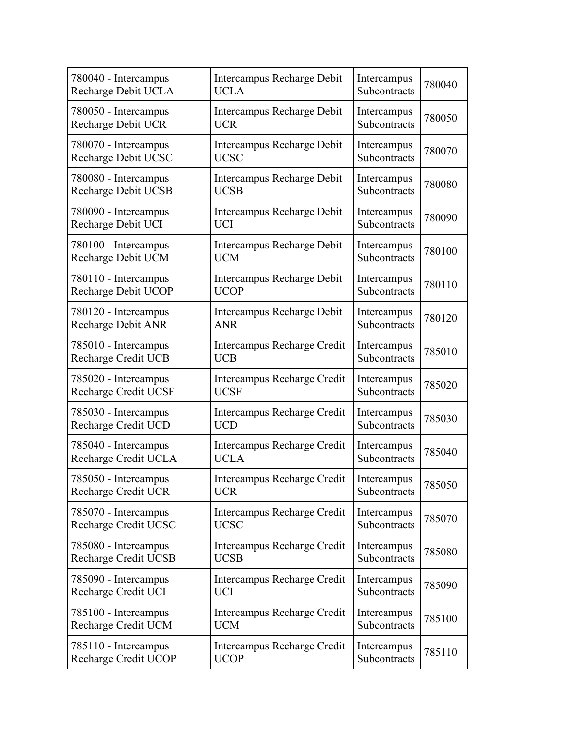| 780040 - Intercampus      | Intercampus Recharge Debit  | Intercampus  | 780040 |
|---------------------------|-----------------------------|--------------|--------|
| Recharge Debit UCLA       | <b>UCLA</b>                 | Subcontracts |        |
| 780050 - Intercampus      | Intercampus Recharge Debit  | Intercampus  | 780050 |
| <b>Recharge Debit UCR</b> | <b>UCR</b>                  | Subcontracts |        |
| 780070 - Intercampus      | Intercampus Recharge Debit  | Intercampus  | 780070 |
| Recharge Debit UCSC       | <b>UCSC</b>                 | Subcontracts |        |
| 780080 - Intercampus      | Intercampus Recharge Debit  | Intercampus  | 780080 |
| Recharge Debit UCSB       | <b>UCSB</b>                 | Subcontracts |        |
| 780090 - Intercampus      | Intercampus Recharge Debit  | Intercampus  | 780090 |
| Recharge Debit UCI        | <b>UCI</b>                  | Subcontracts |        |
| 780100 - Intercampus      | Intercampus Recharge Debit  | Intercampus  | 780100 |
| Recharge Debit UCM        | <b>UCM</b>                  | Subcontracts |        |
| 780110 - Intercampus      | Intercampus Recharge Debit  | Intercampus  | 780110 |
| Recharge Debit UCOP       | <b>UCOP</b>                 | Subcontracts |        |
| 780120 - Intercampus      | Intercampus Recharge Debit  | Intercampus  | 780120 |
| Recharge Debit ANR        | <b>ANR</b>                  | Subcontracts |        |
| 785010 - Intercampus      | Intercampus Recharge Credit | Intercampus  | 785010 |
| Recharge Credit UCB       | <b>UCB</b>                  | Subcontracts |        |
| 785020 - Intercampus      | Intercampus Recharge Credit | Intercampus  | 785020 |
| Recharge Credit UCSF      | <b>UCSF</b>                 | Subcontracts |        |
| 785030 - Intercampus      | Intercampus Recharge Credit | Intercampus  | 785030 |
| Recharge Credit UCD       | <b>UCD</b>                  | Subcontracts |        |
| 785040 - Intercampus      | Intercampus Recharge Credit | Intercampus  | 785040 |
| Recharge Credit UCLA      | <b>UCLA</b>                 | Subcontracts |        |
| 785050 - Intercampus      | Intercampus Recharge Credit | Intercampus  | 785050 |
| Recharge Credit UCR       | <b>UCR</b>                  | Subcontracts |        |
| 785070 - Intercampus      | Intercampus Recharge Credit | Intercampus  | 785070 |
| Recharge Credit UCSC      | <b>UCSC</b>                 | Subcontracts |        |
| 785080 - Intercampus      | Intercampus Recharge Credit | Intercampus  | 785080 |
| Recharge Credit UCSB      | <b>UCSB</b>                 | Subcontracts |        |
| 785090 - Intercampus      | Intercampus Recharge Credit | Intercampus  | 785090 |
| Recharge Credit UCI       | <b>UCI</b>                  | Subcontracts |        |
| 785100 - Intercampus      | Intercampus Recharge Credit | Intercampus  | 785100 |
| Recharge Credit UCM       | <b>UCM</b>                  | Subcontracts |        |
| 785110 - Intercampus      | Intercampus Recharge Credit | Intercampus  | 785110 |
| Recharge Credit UCOP      | <b>UCOP</b>                 | Subcontracts |        |